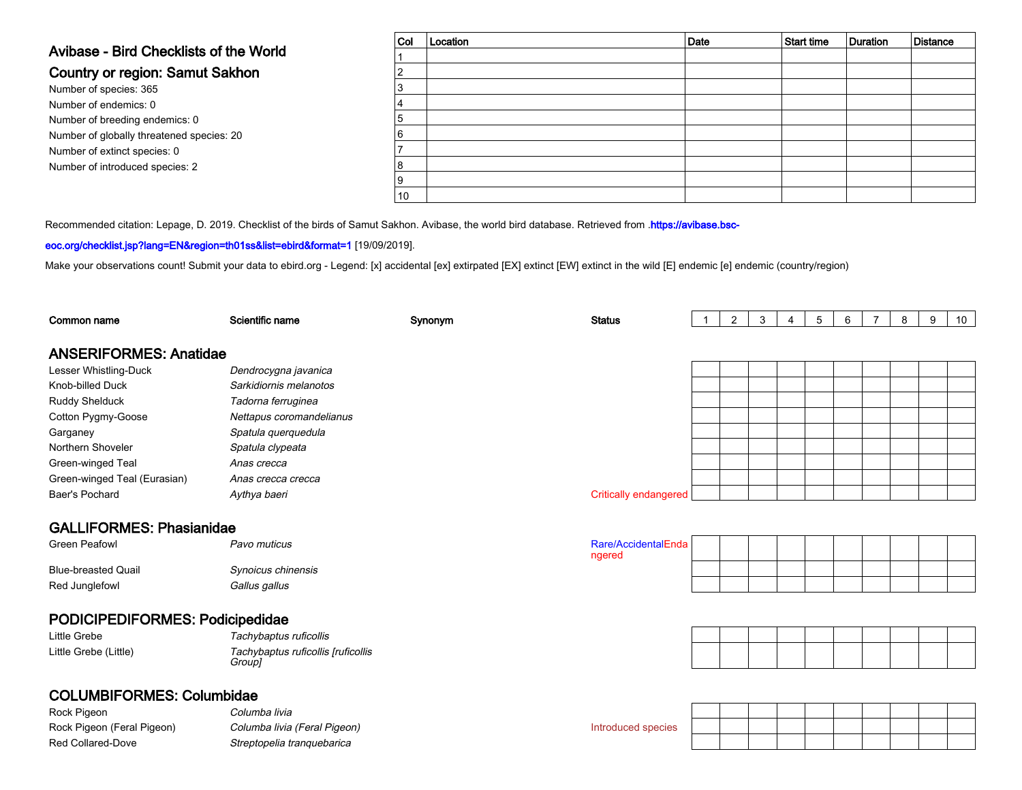# Avibase - Bird Checklists of the World

### Country or region: Samut Sakhon

Number of species: 365 Number of endemics: 0 Number of breeding endemics: 0 Number of globally threatened species: 20Number of extinct species: 0Number of introduced species: 2

| $ $ Col | Location | Date | Start time | Duration | Distance |
|---------|----------|------|------------|----------|----------|
|         |          |      |            |          |          |
| ◠       |          |      |            |          |          |
| 3       |          |      |            |          |          |
| 4       |          |      |            |          |          |
| 5       |          |      |            |          |          |
| 6       |          |      |            |          |          |
|         |          |      |            |          |          |
| 8       |          |      |            |          |          |
| Ι9      |          |      |            |          |          |
| 10      |          |      |            |          |          |

Recommended citation: Lepage, D. 2019. Checklist of the birds of Samut Sakhon. Avibase, the world bird database. Retrieved from .[https://avibase.bsc-](https://avibase.bsc-eoc.org/checklist.jsp?lang=EN®ion=th01ss&list=ebird&format=1)

#### [eoc.org/checklist.jsp?lang=EN&region=th01ss&list=ebird&format=1](https://avibase.bsc-eoc.org/checklist.jsp?lang=EN®ion=th01ss&list=ebird&format=1) [19/09/2019].

Make your observations count! Submit your data to [ebird.org](https://ebird.org) - Legend: [x] accidental [ex] extirpated [EX] extinct [EW] extinct in the wild [E] endemic [e] endemic (country/region)

| Common name                      | Scientific name                              | Synonym | <b>Status</b>                 | $\overline{\mathbf{1}}$ | $\overline{2}$ | 3 | 4 | 5 | 6 | $\overline{7}$ | 8 | 9 | 10 <sup>°</sup> |
|----------------------------------|----------------------------------------------|---------|-------------------------------|-------------------------|----------------|---|---|---|---|----------------|---|---|-----------------|
| <b>ANSERIFORMES: Anatidae</b>    |                                              |         |                               |                         |                |   |   |   |   |                |   |   |                 |
| Lesser Whistling-Duck            | Dendrocygna javanica                         |         |                               |                         |                |   |   |   |   |                |   |   |                 |
| Knob-billed Duck                 | Sarkidiornis melanotos                       |         |                               |                         |                |   |   |   |   |                |   |   |                 |
| <b>Ruddy Shelduck</b>            | Tadorna ferruginea                           |         |                               |                         |                |   |   |   |   |                |   |   |                 |
| Cotton Pygmy-Goose               | Nettapus coromandelianus                     |         |                               |                         |                |   |   |   |   |                |   |   |                 |
| Garganey                         | Spatula querquedula                          |         |                               |                         |                |   |   |   |   |                |   |   |                 |
| Northern Shoveler                | Spatula clypeata                             |         |                               |                         |                |   |   |   |   |                |   |   |                 |
| Green-winged Teal                | Anas crecca                                  |         |                               |                         |                |   |   |   |   |                |   |   |                 |
| Green-winged Teal (Eurasian)     | Anas crecca crecca                           |         |                               |                         |                |   |   |   |   |                |   |   |                 |
| Baer's Pochard                   | Aythya baeri                                 |         | <b>Critically endangered</b>  |                         |                |   |   |   |   |                |   |   |                 |
| <b>GALLIFORMES: Phasianidae</b>  |                                              |         |                               |                         |                |   |   |   |   |                |   |   |                 |
| <b>Green Peafowl</b>             | Pavo muticus                                 |         | Rare/AccidentalEnda<br>ngered |                         |                |   |   |   |   |                |   |   |                 |
| <b>Blue-breasted Quail</b>       | Synoicus chinensis                           |         |                               |                         |                |   |   |   |   |                |   |   |                 |
| Red Junglefowl                   | Gallus gallus                                |         |                               |                         |                |   |   |   |   |                |   |   |                 |
| PODICIPEDIFORMES: Podicipedidae  |                                              |         |                               |                         |                |   |   |   |   |                |   |   |                 |
| <b>Little Grebe</b>              | Tachybaptus ruficollis                       |         |                               |                         |                |   |   |   |   |                |   |   |                 |
| Little Grebe (Little)            | Tachybaptus ruficollis [ruficollis<br>Group] |         |                               |                         |                |   |   |   |   |                |   |   |                 |
| <b>COLUMBIFORMES: Columbidae</b> |                                              |         |                               |                         |                |   |   |   |   |                |   |   |                 |
| Rock Pigeon                      | Columba livia                                |         |                               |                         |                |   |   |   |   |                |   |   |                 |
| Rock Pigeon (Feral Pigeon)       | Columba livia (Feral Pigeon)                 |         | Introduced species            |                         |                |   |   |   |   |                |   |   |                 |
| <b>Red Collared-Dove</b>         | Streptopelia tranquebarica                   |         |                               |                         |                |   |   |   |   |                |   |   |                 |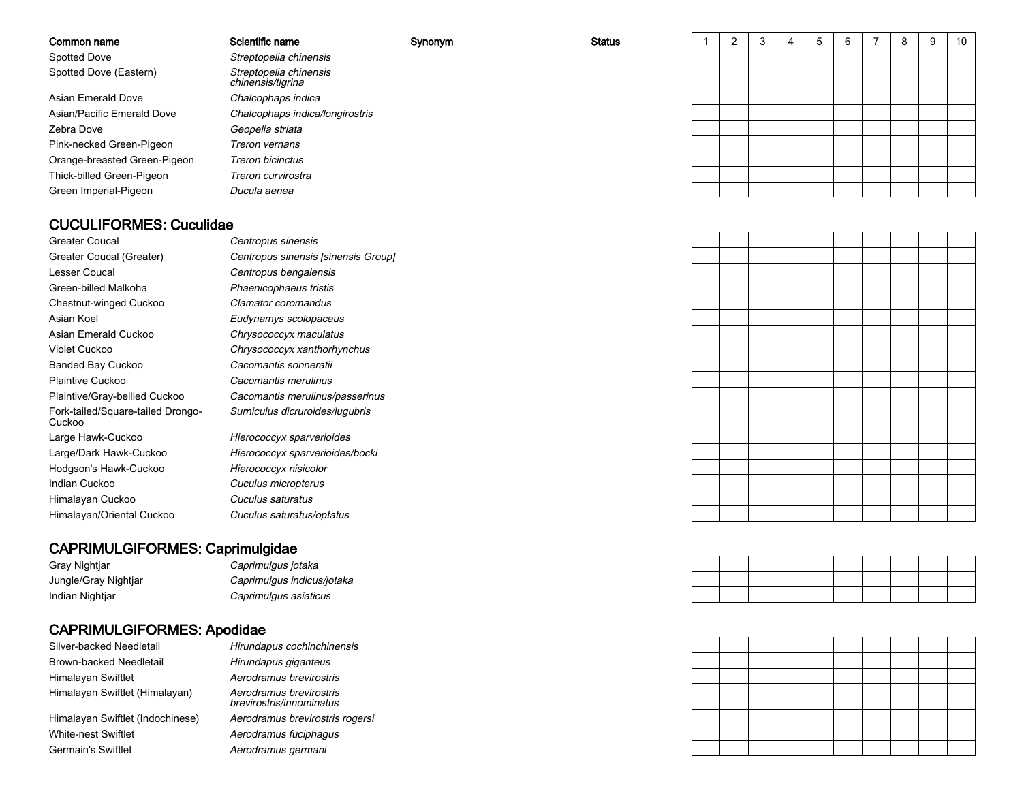#### Common name

Spotted DoveSpotted Dove (Eastern)

Asian Emerald DoveAsian/Pacific Emerald DoveZebra DovePink-necked Green-PigeonOrange-breasted Green-PigeonThick-billed Green-PigeonGreen Imperial-Pigeon

#### Streptopelia chinensis Streptopelia chinensischinensis/tigrinae Chalcophaps indica Chalcophaps indica/longirostris Geopelia striata Treron vernans Treron bicinctus Treron curvirostra Ducula aenea

Scientific name Synonym

| w | <b>Status</b> | 1 | 2 | $\mathbf{3}$ | 4 | 5 | 6 | ⇁<br>$\mathbf{I}$ | 8 | 9 | 10 <sup>1</sup> |
|---|---------------|---|---|--------------|---|---|---|-------------------|---|---|-----------------|
|   |               |   |   |              |   |   |   |                   |   |   |                 |
|   |               |   |   |              |   |   |   |                   |   |   |                 |
|   |               |   |   |              |   |   |   |                   |   |   |                 |
|   |               |   |   |              |   |   |   |                   |   |   |                 |
|   |               |   |   |              |   |   |   |                   |   |   |                 |
|   |               |   |   |              |   |   |   |                   |   |   |                 |
|   |               |   |   |              |   |   |   |                   |   |   |                 |
|   |               |   |   |              |   |   |   |                   |   |   |                 |
|   |               |   |   |              |   |   |   |                   |   |   |                 |
|   |               |   |   |              |   |   |   |                   |   |   |                 |

### CUCULIFORMES: Cuculidae

| Greater Coucal                              |
|---------------------------------------------|
| Greater Coucal (Greater)                    |
| Lesser Coucal                               |
| Green-billed Malkoha                        |
| Chestnut-winged Cuckoo                      |
| Asian Koel                                  |
| Asian Emerald Cuckoo                        |
| Violet Cuckoo                               |
| <b>Banded Bay Cuckoo</b>                    |
| Plaintive Cuckoo                            |
| Plaintive/Gray-bellied Cuckoo               |
| Fork-tailed/Square-tailed Drongo-<br>Cuckoo |
| Large Hawk-Cuckoo                           |
| Large/Dark Hawk-Cuckoo                      |
| Hodgson's Hawk-Cuckoo                       |
| Indian Cuckoo                               |
| Himalayan Cuckoo                            |
| Himalayan/Oriental Cuckoo                   |

 Centropus sinensis Centropus sinensis [sinensis Group] Centropus bengalensis Phaenicophaeus tristis Clamator coromandus Eudynamys scolopaceuso Chrysococcyx maculatus Chrysococcyx xanthorhynchus Cacomantis sonneratii Cacomantis merulinus Cacomantis merulinus/passerinus Surniculus dicruroides/lugubris Hierococcyx sparverioides Hierococcyx sparverioides/bocki

> Hierococcyx nisicolor Cuculus micropterus Cuculus saturatus Cuculus saturatus/optatus

#### CAPRIMULGIFORMES: Caprimulgidae

Gray NightjarJungle/Gray NightjarIndian Nightjar

Germain's Swiftlet

#### Caprimulgus jotaka Caprimulgus indicus/jotakaCaprimulgus asiaticus

### CAPRIMULGIFORMES: Apodidae

Silver-backed NeedletailBrown-backed Needletail Aerodramus brevirostrisHimalayan SwiftletHimalayan Swiftlet (Himalayan)Himalayan Swiftlet (Indochinese)White-nest Swiftlet

 Hirundapus cochinchinensis Hirundapus giganteus Aerodramus brevirostris brevirostris/innominatus Aerodramus brevirostris rogersi Aerodramus fuciphagusAerodramus germani

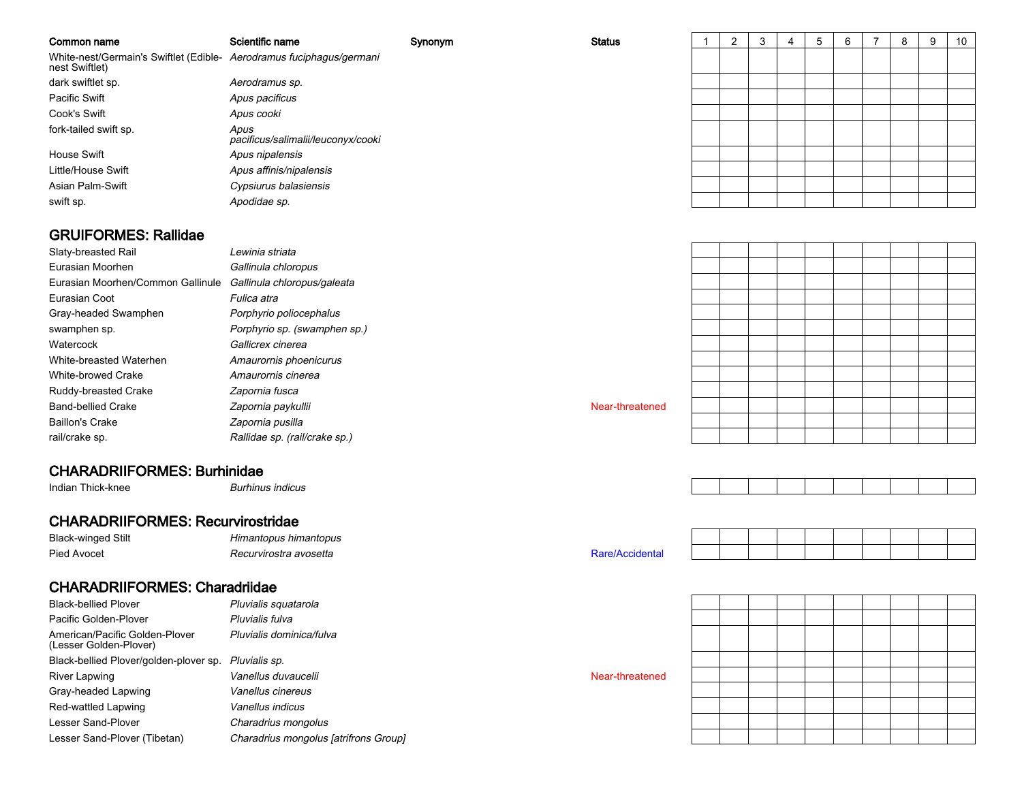| Common name                                                                            | Scientific name                            | Synonym | <b>Status</b> | C | 3 |  | 6 | 8 | 9 | 10 |
|----------------------------------------------------------------------------------------|--------------------------------------------|---------|---------------|---|---|--|---|---|---|----|
| White-nest/Germain's Swiftlet (Edible- Aerodramus fuciphagus/germani<br>nest Swiftlet) |                                            |         |               |   |   |  |   |   |   |    |
| dark swiftlet sp.                                                                      | Aerodramus sp.                             |         |               |   |   |  |   |   |   |    |
| Pacific Swift                                                                          | Apus pacificus                             |         |               |   |   |  |   |   |   |    |
| Cook's Swift                                                                           | Apus cooki                                 |         |               |   |   |  |   |   |   |    |
| fork-tailed swift sp.                                                                  | Apus<br>pacificus/salimalii/leuconyx/cooki |         |               |   |   |  |   |   |   |    |
| House Swift                                                                            | Apus nipalensis                            |         |               |   |   |  |   |   |   |    |
| Little/House Swift                                                                     | Apus affinis/nipalensis                    |         |               |   |   |  |   |   |   |    |
| Asian Palm-Swift                                                                       | Cypsiurus balasiensis                      |         |               |   |   |  |   |   |   |    |
| swift sp.                                                                              | Apodidae sp.                               |         |               |   |   |  |   |   |   |    |

### GRUIFORMES: Rallidae

| Slaty-breasted Rail |  |  |
|---------------------|--|--|
| Eurasian Moorhen    |  |  |

 Lewinia striatan Gallinula chloropus Eurasian Moorhen/Common Gallinule Gallinula chloropus/galeata Fulica atra Porphyrio poliocephalus Porphyrio sp. (swamphen sp.) Gallicrex cinerea Amaurornis phoenicurus Amaurornis cinerea Zapornia fusca Zapornia paykullii Near-threatened Zapornia pusilla Rallidae sp. (rail/crake sp.)

### CHARADRIIFORMES: Burhinidae

 Burhinus indicus Indian Thick-knee

Eurasian Coot

swamphen sp.

**Watercock** 

Gray-headed Swamphen

White-breasted WaterhenWhite-browed Crake

Ruddy-breasted Crake

Band-bellied Crake

Baillon's Crake

rail/crake sp.

### CHARADRIIFORMES: Recurvirostridae

Black-winged StiltPied Avocet

Himantopus himantopus

Recurvirostra avosetta

### CHARADRIIFORMES: Charadriidae

| <b>Black-bellied Plover</b>                              | Pluvialis squatarola                  |                 |
|----------------------------------------------------------|---------------------------------------|-----------------|
| Pacific Golden-Plover                                    | Pluvialis fulva                       |                 |
| American/Pacific Golden-Plover<br>(Lesser Golden-Plover) | Pluvialis dominica/fulva              |                 |
| Black-bellied Plover/golden-plover sp.                   | Pluvialis sp.                         |                 |
| River Lapwing                                            | Vanellus duvaucelii                   | Near-threatened |
| Gray-headed Lapwing                                      | Vanellus cinereus                     |                 |
| Red-wattled Lapwing                                      | Vanellus indicus                      |                 |
| Lesser Sand-Plover                                       | Charadrius mongolus                   |                 |
| Lesser Sand-Plover (Tibetan)                             | Charadrius mongolus [atrifrons Group] |                 |
|                                                          |                                       |                 |



Rare/Accidental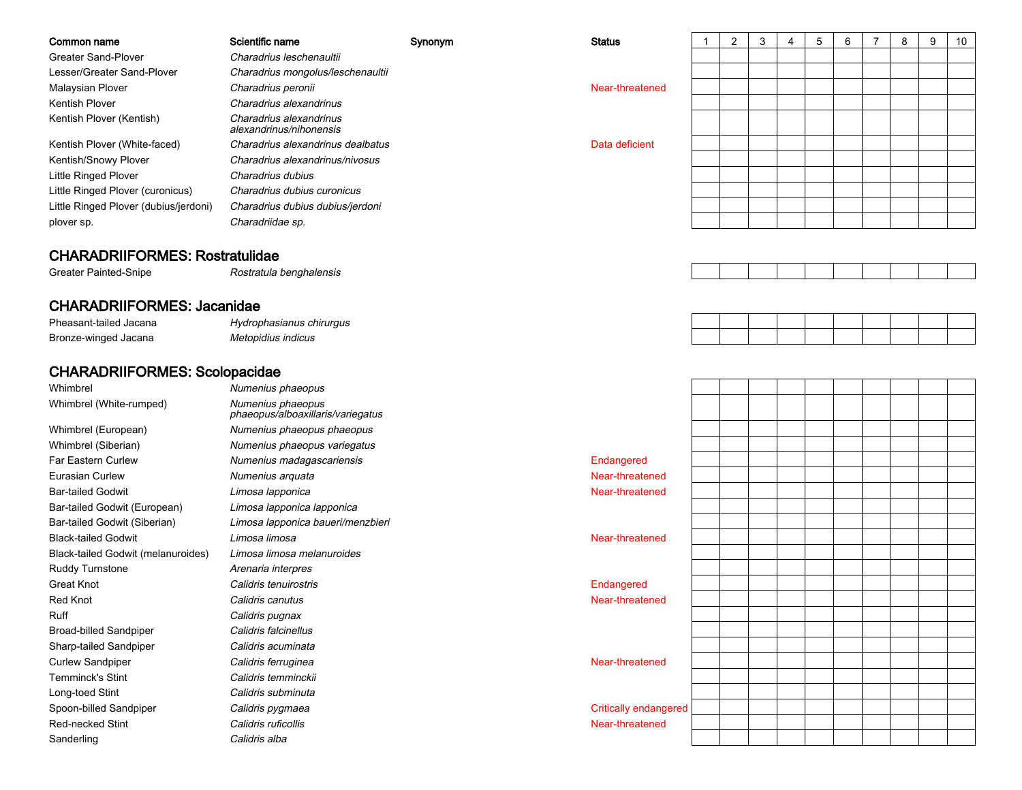| Common name                           | Scientific name                                    | Synonym | <b>Status</b>   |  | 3 | 4 | 5 | 6 | 8 | 9 | 10 |
|---------------------------------------|----------------------------------------------------|---------|-----------------|--|---|---|---|---|---|---|----|
| <b>Greater Sand-Plover</b>            | Charadrius leschenaultii                           |         |                 |  |   |   |   |   |   |   |    |
| Lesser/Greater Sand-Plover            | Charadrius mongolus/leschenaultii                  |         |                 |  |   |   |   |   |   |   |    |
| Malaysian Plover                      | Charadrius peronii                                 |         | Near-threatened |  |   |   |   |   |   |   |    |
| Kentish Plover                        | Charadrius alexandrinus                            |         |                 |  |   |   |   |   |   |   |    |
| Kentish Plover (Kentish)              | Charadrius alexandrinus<br>alexandrinus/nihonensis |         |                 |  |   |   |   |   |   |   |    |
| Kentish Plover (White-faced)          | Charadrius alexandrinus dealbatus                  |         | Data deficient  |  |   |   |   |   |   |   |    |
| Kentish/Snowy Plover                  | Charadrius alexandrinus/nivosus                    |         |                 |  |   |   |   |   |   |   |    |
| <b>Little Ringed Plover</b>           | Charadrius dubius                                  |         |                 |  |   |   |   |   |   |   |    |
| Little Ringed Plover (curonicus)      | Charadrius dubius curonicus                        |         |                 |  |   |   |   |   |   |   |    |
| Little Ringed Plover (dubius/jerdoni) | Charadrius dubius dubius/jerdoni                   |         |                 |  |   |   |   |   |   |   |    |
| plover sp.                            | Charadriidae sp.                                   |         |                 |  |   |   |   |   |   |   |    |
|                                       |                                                    |         |                 |  |   |   |   |   |   |   |    |

#### CHARADRIIFORMES: Rostratulidae

Greater Painted-Snipe

Rostratula benghalensis

### CHARADRIIFORMES: Jacanidae

| Pheasant-tailed Jacana    | Hydrophasianus chirurgus |  |  |  |  |  |
|---------------------------|--------------------------|--|--|--|--|--|
| Bronze-winged<br>l Jacana | Metopidius indicus       |  |  |  |  |  |

### CHARADRIIFORMES: Scolopacidae

I and the *Numenius phaeopus* Whimbrel Numenius phaeopusWhimbrel (White-rumped) phaeopus/alboaxillaris/variegatusWhimbrel (European) Numenius phaeopus phaeopus Numenius phaeopus variegatusWhimbrel (Siberian)Far Eastern CurlewNumenius madagascariensis and a conservative conservative conservative conservative conservative conservative<br>Numenius arquata and a conservative conservative conservative conservative conservative conservative conservati<br> Eurasian Curleww and the numerius arquata numeric state of the set of the Near-threatened Near-threatened  $\sim$ Bar-tailed Godwit Limosa lapponica Near-threatened Bar-tailed Godwit (European) Limosa lapponica lapponica Limosa lapponica baueri/menzbieri Bar-tailed Godwit (Siberian)Black-tailed Godwit Limosa limosaa and the control of the control of the control of the control of the control of the control of the control of the control of the control of the control of the control of the control of the control of the control of the co Black-tailed Godwit (melanuroides) Limosa limosa melanuroidesRuddy Turnstone Arenaria interpres Great Knot Calidris tenuirostrisis **Endangered** Red Knot Calidris canutuss and the contract of the contract of the contract of the contract of the contract of the contract of the contract of the contract of the contract of the contract of the contract of the contract of the contract of the cont Ruff Calidris pugnax Calidris falcinellusBroad-billed Sandpiperr **Calidris acuminata** Sharp-tailed Sandpiperr **Calidris ferruginea** Curlew Sandpipera and the control of the control of the control of the control of the control of the control of the control of the control of the control of the control of the control of the control of the control of the control of the co Temminck's Stint Calidris temminckii Long-toed Stint Calidris subminutar Calidris pygmaea Spoon-billed SandpiperRed-necked Stint Calidris ruficollisis a statement of the control of the control of the control of the control of the control of the control of the control of the control of the control of the control of the control of the control of the control of the contr SanderlingCalidris alba

| opus                        |                       |  |  |  |  |  |
|-----------------------------|-----------------------|--|--|--|--|--|
| opus<br>xillaris/variegatus |                       |  |  |  |  |  |
| opus phaeopus               |                       |  |  |  |  |  |
| opus variegatus             |                       |  |  |  |  |  |
| gascariensis                | Endangered            |  |  |  |  |  |
| ıta                         | Near-threatened       |  |  |  |  |  |
| a                           | Near-threatened       |  |  |  |  |  |
| a lapponica                 |                       |  |  |  |  |  |
| a baueri/menzbieri          |                       |  |  |  |  |  |
|                             | Near-threatened       |  |  |  |  |  |
| nelanuroides                |                       |  |  |  |  |  |
| ЭS                          |                       |  |  |  |  |  |
| tris                        | Endangered            |  |  |  |  |  |
|                             | Near-threatened       |  |  |  |  |  |
|                             |                       |  |  |  |  |  |
| JS                          |                       |  |  |  |  |  |
| ata                         |                       |  |  |  |  |  |
| эа                          | Near-threatened       |  |  |  |  |  |
| :kii                        |                       |  |  |  |  |  |
| ıta                         |                       |  |  |  |  |  |
| a                           | Critically endangered |  |  |  |  |  |
|                             | Near-threatened       |  |  |  |  |  |
|                             |                       |  |  |  |  |  |
|                             |                       |  |  |  |  |  |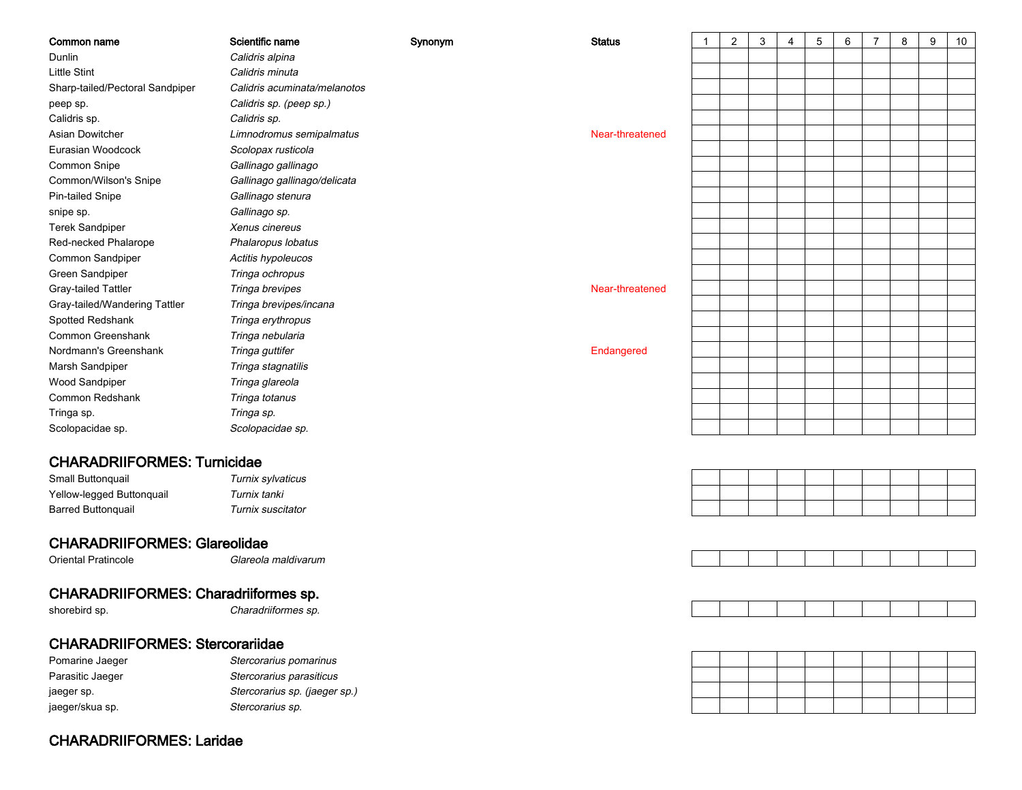| Synonym<br>Dunlin<br>Calidris alpina<br><b>Little Stint</b><br>Calidris minuta<br>Sharp-tailed/Pectoral Sandpiper<br>Calidris acuminata/melanotos<br>Calidris sp. (peep sp.)<br>peep sp.<br>Calidris sp.<br>Calidris sp.<br>Asian Dowitcher<br>Limnodromus semipalmatus<br>Near-threatened<br>Scolopax rusticola<br>Eurasian Woodcock<br>Common Snipe<br>Gallinago gallinago<br>Common/Wilson's Snipe<br>Gallinago gallinago/delicata | 10 |
|---------------------------------------------------------------------------------------------------------------------------------------------------------------------------------------------------------------------------------------------------------------------------------------------------------------------------------------------------------------------------------------------------------------------------------------|----|
|                                                                                                                                                                                                                                                                                                                                                                                                                                       |    |
|                                                                                                                                                                                                                                                                                                                                                                                                                                       |    |
|                                                                                                                                                                                                                                                                                                                                                                                                                                       |    |
|                                                                                                                                                                                                                                                                                                                                                                                                                                       |    |
|                                                                                                                                                                                                                                                                                                                                                                                                                                       |    |
|                                                                                                                                                                                                                                                                                                                                                                                                                                       |    |
|                                                                                                                                                                                                                                                                                                                                                                                                                                       |    |
|                                                                                                                                                                                                                                                                                                                                                                                                                                       |    |
|                                                                                                                                                                                                                                                                                                                                                                                                                                       |    |
| Pin-tailed Snipe<br>Gallinago stenura                                                                                                                                                                                                                                                                                                                                                                                                 |    |
| Gallinago sp.<br>snipe sp.                                                                                                                                                                                                                                                                                                                                                                                                            |    |
| <b>Terek Sandpiper</b><br>Xenus cinereus                                                                                                                                                                                                                                                                                                                                                                                              |    |
| Red-necked Phalarope<br>Phalaropus lobatus                                                                                                                                                                                                                                                                                                                                                                                            |    |
| Common Sandpiper<br>Actitis hypoleucos                                                                                                                                                                                                                                                                                                                                                                                                |    |
| Green Sandpiper<br>Tringa ochropus                                                                                                                                                                                                                                                                                                                                                                                                    |    |
| Gray-tailed Tattler<br>Tringa brevipes<br>Near-threatened                                                                                                                                                                                                                                                                                                                                                                             |    |
| Gray-tailed/Wandering Tattler<br>Tringa brevipes/incana                                                                                                                                                                                                                                                                                                                                                                               |    |
| Spotted Redshank<br>Tringa erythropus                                                                                                                                                                                                                                                                                                                                                                                                 |    |
| Common Greenshank<br>Tringa nebularia                                                                                                                                                                                                                                                                                                                                                                                                 |    |
| Nordmann's Greenshank<br>Tringa guttifer<br>Endangered                                                                                                                                                                                                                                                                                                                                                                                |    |
| Marsh Sandpiper<br>Tringa stagnatilis                                                                                                                                                                                                                                                                                                                                                                                                 |    |
| Wood Sandpiper<br>Tringa glareola                                                                                                                                                                                                                                                                                                                                                                                                     |    |
| Common Redshank<br>Tringa totanus                                                                                                                                                                                                                                                                                                                                                                                                     |    |
| Tringa sp.<br>Tringa sp.                                                                                                                                                                                                                                                                                                                                                                                                              |    |
| Scolopacidae sp.<br>Scolopacidae sp.                                                                                                                                                                                                                                                                                                                                                                                                  |    |
|                                                                                                                                                                                                                                                                                                                                                                                                                                       |    |
| <b>CHARADRIIFORMES: Turnicidae</b>                                                                                                                                                                                                                                                                                                                                                                                                    |    |
| Small Buttonquail<br>Turnix sylvaticus                                                                                                                                                                                                                                                                                                                                                                                                |    |
| Yellow-legged Buttonquail<br>Turnix tanki                                                                                                                                                                                                                                                                                                                                                                                             |    |
| Turnix suscitator<br><b>Barred Buttonquail</b>                                                                                                                                                                                                                                                                                                                                                                                        |    |
|                                                                                                                                                                                                                                                                                                                                                                                                                                       |    |
| <b>CHARADRIIFORMES: Glareolidae</b>                                                                                                                                                                                                                                                                                                                                                                                                   |    |
| Oriental Pratincole<br>Glareola maldivarum                                                                                                                                                                                                                                                                                                                                                                                            |    |
|                                                                                                                                                                                                                                                                                                                                                                                                                                       |    |
| <b>CHARADRIIFORMES: Charadriiformes sp.</b>                                                                                                                                                                                                                                                                                                                                                                                           |    |
| shorebird sp.<br>Charadriiformes sp.                                                                                                                                                                                                                                                                                                                                                                                                  |    |
| <b>CHARADRIIFORMES: Stercorariidae</b>                                                                                                                                                                                                                                                                                                                                                                                                |    |
| Pomarine Jaeger<br>Stercorarius pomarinus                                                                                                                                                                                                                                                                                                                                                                                             |    |
| Stercorarius parasiticus<br>Parasitic Jaeger                                                                                                                                                                                                                                                                                                                                                                                          |    |
| Stercorarius sp. (jaeger sp.)<br>jaeger sp.                                                                                                                                                                                                                                                                                                                                                                                           |    |
| Stercorarius sp.<br>jaeger/skua sp.                                                                                                                                                                                                                                                                                                                                                                                                   |    |

CHARADRIIFORMES: Laridae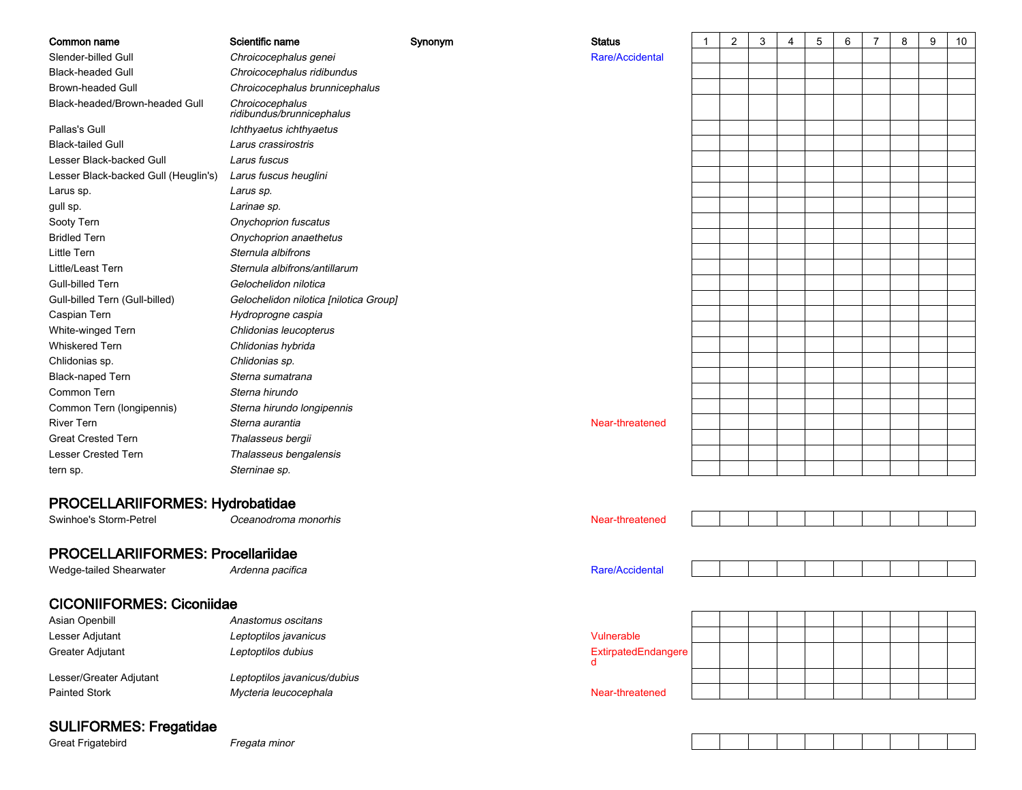| Common name                              | Scientific name                                       | Synonym | <b>Status</b>            | $\mathbf{1}$ | 2 | 3 | 4 | 5 | 6 | $\overline{7}$ | 8 | 9 | 10 |
|------------------------------------------|-------------------------------------------------------|---------|--------------------------|--------------|---|---|---|---|---|----------------|---|---|----|
| Slender-billed Gull                      | Chroicocephalus genei                                 |         | Rare/Accidental          |              |   |   |   |   |   |                |   |   |    |
| <b>Black-headed Gull</b>                 | Chroicocephalus ridibundus                            |         |                          |              |   |   |   |   |   |                |   |   |    |
| <b>Brown-headed Gull</b>                 | Chroicocephalus brunnicephalus                        |         |                          |              |   |   |   |   |   |                |   |   |    |
| Black-headed/Brown-headed Gull           | Chroicocephalus<br>ridibundus/brunnicephalus          |         |                          |              |   |   |   |   |   |                |   |   |    |
| Pallas's Gull                            | Ichthyaetus ichthyaetus                               |         |                          |              |   |   |   |   |   |                |   |   |    |
| <b>Black-tailed Gull</b>                 | Larus crassirostris                                   |         |                          |              |   |   |   |   |   |                |   |   |    |
| Lesser Black-backed Gull                 | Larus fuscus                                          |         |                          |              |   |   |   |   |   |                |   |   |    |
| Lesser Black-backed Gull (Heuglin's)     | Larus fuscus heuglini                                 |         |                          |              |   |   |   |   |   |                |   |   |    |
| Larus sp.                                | Larus sp.                                             |         |                          |              |   |   |   |   |   |                |   |   |    |
| gull sp.                                 | Larinae sp.                                           |         |                          |              |   |   |   |   |   |                |   |   |    |
| Sooty Tern                               | Onychoprion fuscatus                                  |         |                          |              |   |   |   |   |   |                |   |   |    |
| <b>Bridled Tern</b>                      | Onychoprion anaethetus                                |         |                          |              |   |   |   |   |   |                |   |   |    |
| <b>Little Tern</b>                       | Sternula albifrons                                    |         |                          |              |   |   |   |   |   |                |   |   |    |
| Little/Least Tern                        | Sternula albifrons/antillarum                         |         |                          |              |   |   |   |   |   |                |   |   |    |
| Gull-billed Tern                         | Gelochelidon nilotica                                 |         |                          |              |   |   |   |   |   |                |   |   |    |
| Gull-billed Tern (Gull-billed)           | Gelochelidon nilotica [nilotica Group]                |         |                          |              |   |   |   |   |   |                |   |   |    |
| Caspian Tern                             | Hydroprogne caspia                                    |         |                          |              |   |   |   |   |   |                |   |   |    |
| White-winged Tern                        | Chlidonias leucopterus                                |         |                          |              |   |   |   |   |   |                |   |   |    |
| Whiskered Tern                           | Chlidonias hybrida                                    |         |                          |              |   |   |   |   |   |                |   |   |    |
| Chlidonias sp.                           | Chlidonias sp.                                        |         |                          |              |   |   |   |   |   |                |   |   |    |
| <b>Black-naped Tern</b>                  | Sterna sumatrana                                      |         |                          |              |   |   |   |   |   |                |   |   |    |
| Common Tern                              | Sterna hirundo                                        |         |                          |              |   |   |   |   |   |                |   |   |    |
| Common Tern (longipennis)                | Sterna hirundo longipennis                            |         |                          |              |   |   |   |   |   |                |   |   |    |
| <b>River Tern</b>                        | Sterna aurantia                                       |         | Near-threatened          |              |   |   |   |   |   |                |   |   |    |
| <b>Great Crested Tern</b>                | Thalasseus bergii                                     |         |                          |              |   |   |   |   |   |                |   |   |    |
| <b>Lesser Crested Tern</b>               | Thalasseus bengalensis                                |         |                          |              |   |   |   |   |   |                |   |   |    |
| tern sp.                                 | Sterninae sp.                                         |         |                          |              |   |   |   |   |   |                |   |   |    |
|                                          |                                                       |         |                          |              |   |   |   |   |   |                |   |   |    |
| PROCELLARIIFORMES: Hydrobatidae          |                                                       |         |                          |              |   |   |   |   |   |                |   |   |    |
| Swinhoe's Storm-Petrel                   | Oceanodroma monorhis                                  |         | Near-threatened          |              |   |   |   |   |   |                |   |   |    |
| <b>PROCELLARIIFORMES: Procellariidae</b> |                                                       |         |                          |              |   |   |   |   |   |                |   |   |    |
|                                          |                                                       |         |                          |              |   |   |   |   |   |                |   |   |    |
| Wedge-tailed Shearwater                  | Ardenna pacifica                                      |         | Rare/Accidental          |              |   |   |   |   |   |                |   |   |    |
| <b>CICONIIFORMES: Ciconiidae</b>         |                                                       |         |                          |              |   |   |   |   |   |                |   |   |    |
| Asian Openbill                           | Anastomus oscitans                                    |         |                          |              |   |   |   |   |   |                |   |   |    |
| Lesser Adjutant                          | Leptoptilos javanicus                                 |         | Vulnerable               |              |   |   |   |   |   |                |   |   |    |
| Greater Adjutant                         | Leptoptilos dubius                                    |         | ExtirpatedEndangere<br>d |              |   |   |   |   |   |                |   |   |    |
| Lesser/Greater Adjutant                  |                                                       |         |                          |              |   |   |   |   |   |                |   |   |    |
| <b>Painted Stork</b>                     | Leptoptilos javanicus/dubius<br>Mycteria leucocephala |         | Near-threatened          |              |   |   |   |   |   |                |   |   |    |
|                                          |                                                       |         |                          |              |   |   |   |   |   |                |   |   |    |

# SULIFORMES: Fregatidae

Great Frigatebird

Fregata minor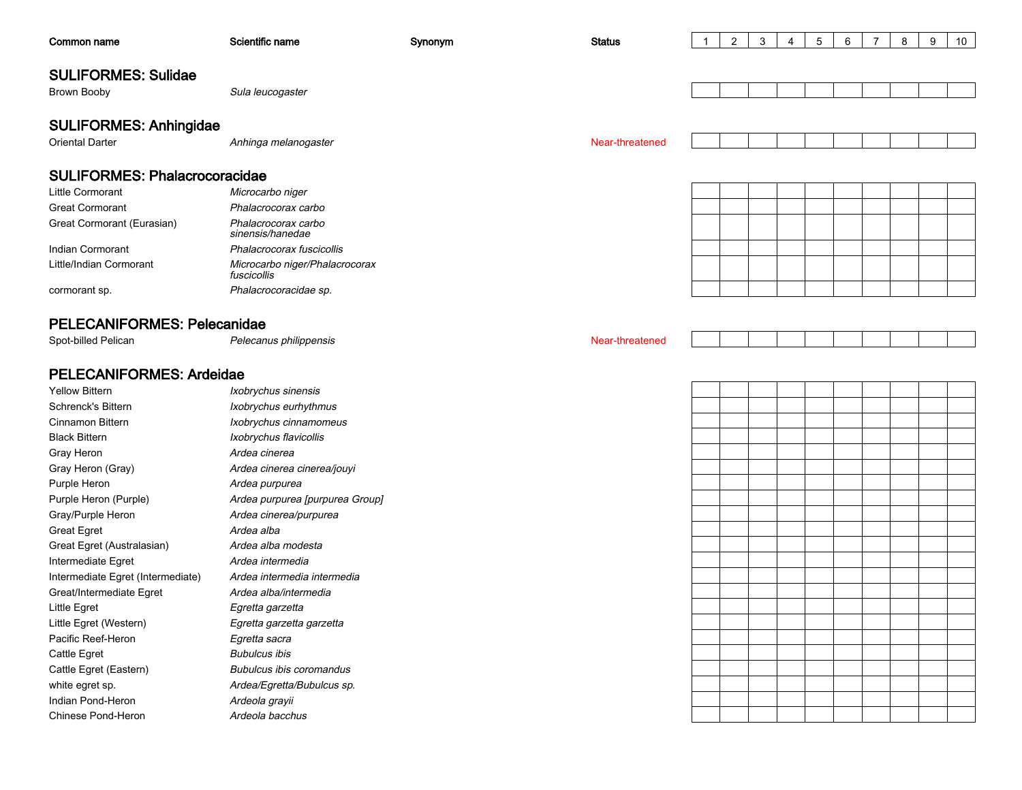| Common name                          | Scientific name                               | Synonym | <b>Status</b>   | -1 | $\overline{2}$ | 3 | 4 | 5 | 6 | $\overline{7}$ | 8 | 9 | 10 |
|--------------------------------------|-----------------------------------------------|---------|-----------------|----|----------------|---|---|---|---|----------------|---|---|----|
|                                      |                                               |         |                 |    |                |   |   |   |   |                |   |   |    |
| <b>SULIFORMES: Sulidae</b>           |                                               |         |                 |    |                |   |   |   |   |                |   |   |    |
| <b>Brown Booby</b>                   | Sula leucogaster                              |         |                 |    |                |   |   |   |   |                |   |   |    |
| <b>SULIFORMES: Anhingidae</b>        |                                               |         |                 |    |                |   |   |   |   |                |   |   |    |
| <b>Oriental Darter</b>               | Anhinga melanogaster                          |         | Near-threatened |    |                |   |   |   |   |                |   |   |    |
|                                      |                                               |         |                 |    |                |   |   |   |   |                |   |   |    |
| <b>SULIFORMES: Phalacrocoracidae</b> |                                               |         |                 |    |                |   |   |   |   |                |   |   |    |
| Little Cormorant                     | Microcarbo niger                              |         |                 |    |                |   |   |   |   |                |   |   |    |
| <b>Great Cormorant</b>               | Phalacrocorax carbo                           |         |                 |    |                |   |   |   |   |                |   |   |    |
| Great Cormorant (Eurasian)           | Phalacrocorax carbo<br>sinensis/hanedae       |         |                 |    |                |   |   |   |   |                |   |   |    |
| Indian Cormorant                     | Phalacrocorax fuscicollis                     |         |                 |    |                |   |   |   |   |                |   |   |    |
| Little/Indian Cormorant              | Microcarbo niger/Phalacrocorax<br>fuscicollis |         |                 |    |                |   |   |   |   |                |   |   |    |
| cormorant sp.                        | Phalacrocoracidae sp.                         |         |                 |    |                |   |   |   |   |                |   |   |    |
|                                      |                                               |         |                 |    |                |   |   |   |   |                |   |   |    |
| PELECANIFORMES: Pelecanidae          |                                               |         |                 |    |                |   |   |   |   |                |   |   |    |
| Spot-billed Pelican                  | Pelecanus philippensis                        |         | Near-threatened |    |                |   |   |   |   |                |   |   |    |
|                                      |                                               |         |                 |    |                |   |   |   |   |                |   |   |    |
| <b>PELECANIFORMES: Ardeidae</b>      |                                               |         |                 |    |                |   |   |   |   |                |   |   |    |
| <b>Yellow Bittern</b>                | Ixobrychus sinensis                           |         |                 |    |                |   |   |   |   |                |   |   |    |
| Schrenck's Bittern                   | Ixobrychus eurhythmus                         |         |                 |    |                |   |   |   |   |                |   |   |    |
| Cinnamon Bittern                     | Ixobrychus cinnamomeus                        |         |                 |    |                |   |   |   |   |                |   |   |    |
| <b>Black Bittern</b>                 | Ixobrychus flavicollis                        |         |                 |    |                |   |   |   |   |                |   |   |    |
| Gray Heron                           | Ardea cinerea                                 |         |                 |    |                |   |   |   |   |                |   |   |    |
| Gray Heron (Gray)                    | Ardea cinerea cinerea/jouyi                   |         |                 |    |                |   |   |   |   |                |   |   |    |
| Purple Heron                         | Ardea purpurea                                |         |                 |    |                |   |   |   |   |                |   |   |    |
| Purple Heron (Purple)                | Ardea purpurea [purpurea Group]               |         |                 |    |                |   |   |   |   |                |   |   |    |
| Gray/Purple Heron                    | Ardea cinerea/purpurea                        |         |                 |    |                |   |   |   |   |                |   |   |    |
| <b>Great Egret</b>                   | Ardea alba                                    |         |                 |    |                |   |   |   |   |                |   |   |    |
| Great Egret (Australasian)           | Ardea alba modesta                            |         |                 |    |                |   |   |   |   |                |   |   |    |
| Intermediate Egret                   | Ardea intermedia                              |         |                 |    |                |   |   |   |   |                |   |   |    |
| Intermediate Egret (Intermediate)    | Ardea intermedia intermedia                   |         |                 |    |                |   |   |   |   |                |   |   |    |
| Great/Intermediate Egret             | Ardea alba/intermedia                         |         |                 |    |                |   |   |   |   |                |   |   |    |
| Little Egret                         | Egretta garzetta                              |         |                 |    |                |   |   |   |   |                |   |   |    |
| Little Egret (Western)               | Egretta garzetta garzetta                     |         |                 |    |                |   |   |   |   |                |   |   |    |
| Pacific Reef-Heron                   | Egretta sacra                                 |         |                 |    |                |   |   |   |   |                |   |   |    |
| Cattle Egret                         | <b>Bubulcus ibis</b>                          |         |                 |    |                |   |   |   |   |                |   |   |    |
| Cattle Egret (Eastern)               | Bubulcus ibis coromandus                      |         |                 |    |                |   |   |   |   |                |   |   |    |
| white egret sp.                      | Ardea/Egretta/Bubulcus sp.                    |         |                 |    |                |   |   |   |   |                |   |   |    |
| Indian Pond-Heron                    | Ardeola grayii                                |         |                 |    |                |   |   |   |   |                |   |   |    |
| Chinese Pond-Heron                   | Ardeola bacchus                               |         |                 |    |                |   |   |   |   |                |   |   |    |
|                                      |                                               |         |                 |    |                |   |   |   |   |                |   |   |    |
|                                      |                                               |         |                 |    |                |   |   |   |   |                |   |   |    |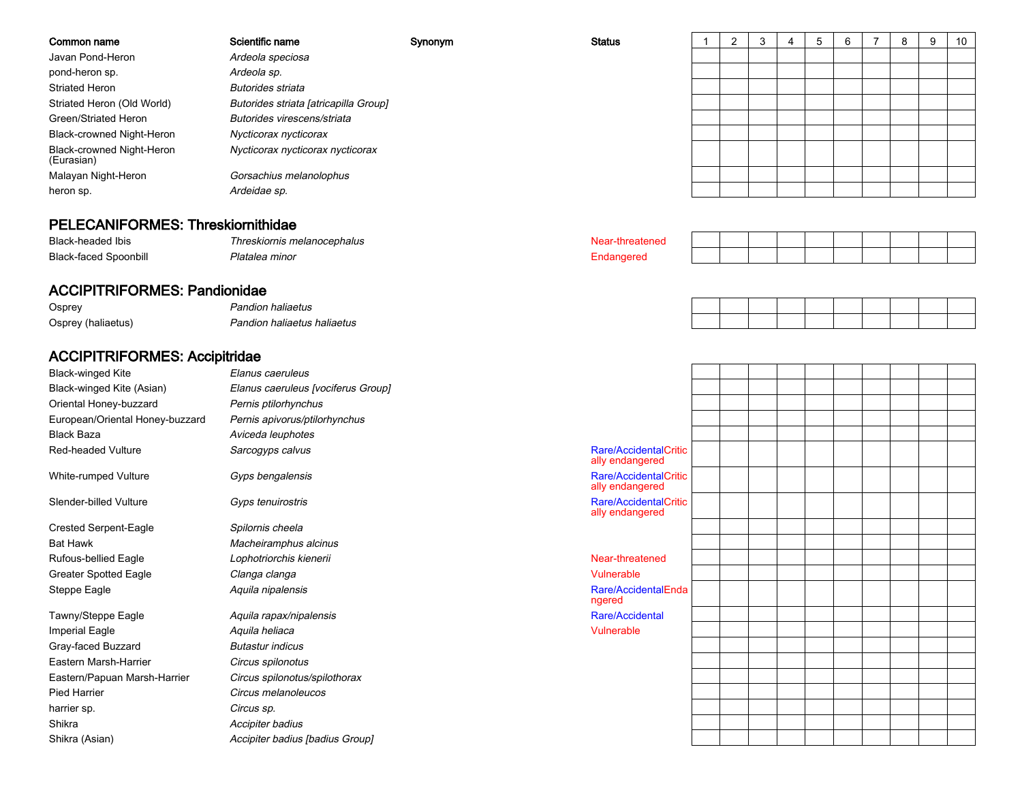| Common name                             | Scientific name                       | Synonym | <b>Status</b> |  | -3 | ৬ | 6 | ŏ | 9 | 10 |
|-----------------------------------------|---------------------------------------|---------|---------------|--|----|---|---|---|---|----|
| Javan Pond-Heron                        | Ardeola speciosa                      |         |               |  |    |   |   |   |   |    |
| pond-heron sp.                          | Ardeola sp.                           |         |               |  |    |   |   |   |   |    |
| <b>Striated Heron</b>                   | <b>Butorides striata</b>              |         |               |  |    |   |   |   |   |    |
| Striated Heron (Old World)              | Butorides striata [atricapilla Group] |         |               |  |    |   |   |   |   |    |
| Green/Striated Heron                    | Butorides virescens/striata           |         |               |  |    |   |   |   |   |    |
| Black-crowned Night-Heron               | Nycticorax nycticorax                 |         |               |  |    |   |   |   |   |    |
| Black-crowned Night-Heron<br>(Eurasian) | Nycticorax nycticorax nycticorax      |         |               |  |    |   |   |   |   |    |
| Malayan Night-Heron                     | Gorsachius melanolophus               |         |               |  |    |   |   |   |   |    |
| heron sp.                               | Ardeidae sp.                          |         |               |  |    |   |   |   |   |    |
|                                         |                                       |         |               |  |    |   |   |   |   |    |

# PELECANIFORMES: Threskiornithidae

| <b>Black-headed Ibis</b>          | I hreskiornis melanocephalus |  |  |  |  |  |  |
|-----------------------------------|------------------------------|--|--|--|--|--|--|
| Black-<br>Spoonbill<br><b>TOD</b> | DIAE<br>ີ'≏a minor           |  |  |  |  |  |  |

### ACCIPITRIFORMES: Pandionidae

 Pandion haliaetus OspreyOsprey (haliaetus)

Pandion haliaetus haliaetus

# ACCIPITRIFORMES: Accipitridae

| <b>Black-winged Kite</b>        | Elanus caeruleus                   |                                          |
|---------------------------------|------------------------------------|------------------------------------------|
| Black-winged Kite (Asian)       | Elanus caeruleus [vociferus Group] |                                          |
| Oriental Honey-buzzard          | Pernis ptilorhynchus               |                                          |
| European/Oriental Honey-buzzard | Pernis apivorus/ptilorhynchus      |                                          |
| <b>Black Baza</b>               | Aviceda leuphotes                  |                                          |
| <b>Red-headed Vulture</b>       | Sarcogyps calvus                   | Rare/AccidentalCritic<br>ally endangered |
| White-rumped Vulture            | Gyps bengalensis                   | Rare/AccidentalCritic<br>ally endangered |
| Slender-billed Vulture          | Gyps tenuirostris                  | Rare/AccidentalCritic<br>ally endangered |
| <b>Crested Serpent-Eagle</b>    | Spilornis cheela                   |                                          |
| <b>Bat Hawk</b>                 | Macheiramphus alcinus              |                                          |
| <b>Rufous-bellied Eagle</b>     | Lophotriorchis kienerii            | Near-threatened                          |
| <b>Greater Spotted Eagle</b>    | Clanga clanga                      | Vulnerable                               |
| Steppe Eagle                    | Aguila nipalensis                  | Rare/AccidentalEnda<br>ngered            |
| Tawny/Steppe Eagle              | Aquila rapax/nipalensis            | Rare/Accidental                          |
| <b>Imperial Eagle</b>           | Aquila heliaca                     | Vulnerable                               |
| Gray-faced Buzzard              | <b>Butastur indicus</b>            |                                          |
| Eastern Marsh-Harrier           | Circus spilonotus                  |                                          |
| Eastern/Papuan Marsh-Harrier    | Circus spilonotus/spilothorax      |                                          |
| Pied Harrier                    | Circus melanoleucos                |                                          |
| harrier sp.                     | Circus sp.                         |                                          |
| Shikra                          | Accipiter badius                   |                                          |
| Shikra (Asian)                  | Accipiter badius [badius Group]    |                                          |
|                                 |                                    |                                          |

| Rare/AccidentalCritic<br>ally endangered |  |  |  |  |  |
|------------------------------------------|--|--|--|--|--|
| Rare/AccidentalCritic<br>ally endangered |  |  |  |  |  |
| Rare/AccidentalCritic<br>ally endangered |  |  |  |  |  |
|                                          |  |  |  |  |  |
|                                          |  |  |  |  |  |
| Near-threatened                          |  |  |  |  |  |
| Vulnerable                               |  |  |  |  |  |
| Rare/AccidentalEnda<br>ngered            |  |  |  |  |  |
| Rare/Accidental                          |  |  |  |  |  |
| Vulnerable                               |  |  |  |  |  |
|                                          |  |  |  |  |  |
|                                          |  |  |  |  |  |
|                                          |  |  |  |  |  |
|                                          |  |  |  |  |  |
|                                          |  |  |  |  |  |
|                                          |  |  |  |  |  |
|                                          |  |  |  |  |  |
|                                          |  |  |  |  |  |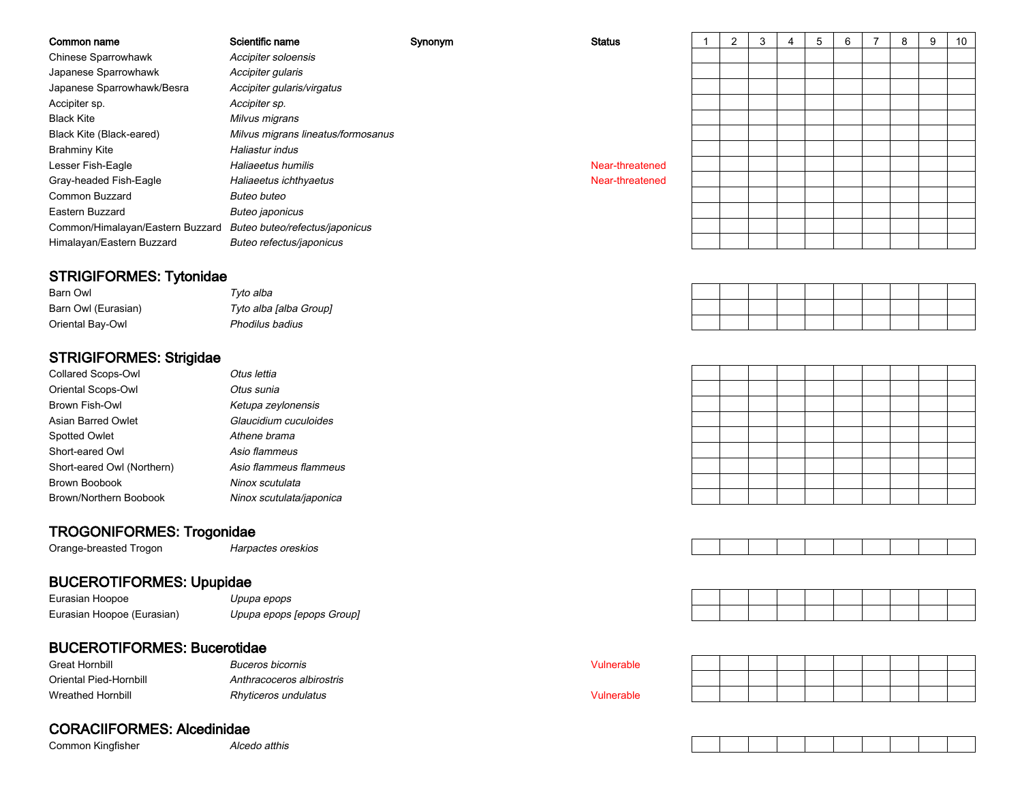| Common name                      | Scientific name                    | Synonym | <b>Status</b>   | 2 |  | 5 | 6 |  | 9 | 10 |
|----------------------------------|------------------------------------|---------|-----------------|---|--|---|---|--|---|----|
| Chinese Sparrowhawk              | Accipiter soloensis                |         |                 |   |  |   |   |  |   |    |
| Japanese Sparrowhawk             | Accipiter gularis                  |         |                 |   |  |   |   |  |   |    |
| Japanese Sparrowhawk/Besra       | Accipiter gularis/virgatus         |         |                 |   |  |   |   |  |   |    |
| Accipiter sp.                    | Accipiter sp.                      |         |                 |   |  |   |   |  |   |    |
| <b>Black Kite</b>                | Milvus migrans                     |         |                 |   |  |   |   |  |   |    |
| Black Kite (Black-eared)         | Milvus migrans lineatus/formosanus |         |                 |   |  |   |   |  |   |    |
| <b>Brahminy Kite</b>             | Haliastur indus                    |         |                 |   |  |   |   |  |   |    |
| Lesser Fish-Eagle                | Haliaeetus humilis                 |         | Near-threatened |   |  |   |   |  |   |    |
| Gray-headed Fish-Eagle           | Haliaeetus ichthyaetus             |         | Near-threatened |   |  |   |   |  |   |    |
| Common Buzzard                   | Buteo buteo                        |         |                 |   |  |   |   |  |   |    |
| Eastern Buzzard                  | Buteo japonicus                    |         |                 |   |  |   |   |  |   |    |
| Common/Himalayan/Eastern Buzzard | Buteo buteo/refectus/japonicus     |         |                 |   |  |   |   |  |   |    |
| Himalayan/Eastern Buzzard        | Buteo refectus/japonicus           |         |                 |   |  |   |   |  |   |    |

### STRIGIFORMES: Tytonidae

| Barn Owl            | Tyto alba              |
|---------------------|------------------------|
| Barn Owl (Eurasian) | Tyto alba [alba Group] |
| Oriental Bay-Owl    | Phodilus badius        |

### STRIGIFORMES: Strigidae

| Collared Scops-Owl         | Otus lettia              |
|----------------------------|--------------------------|
| Oriental Scops-Owl         | Otus sunia               |
| Brown Fish-Owl             | Ketupa zeylonensis       |
| Asian Barred Owlet         | Glaucidium cuculoides    |
| <b>Spotted Owlet</b>       | Athene brama             |
| Short-eared Owl            | Asio flammeus            |
| Short-eared Owl (Northern) | Asio flammeus flammeus   |
| Brown Boobook              | Ninox scutulata          |
| Brown/Northern Boobook     | Ninox scutulata/japonica |
|                            |                          |

### TROGONIFORMES: Trogonidae

 Harpactes oreskios Orange-breasted Trogon

# BUCEROTIFORMES: Upupidae

Eurasian HoopoeEurasian Hoopoe (Eurasian)

### e D*upupa epops* Upupa epops [epops Group]

# BUCEROTIFORMES: Bucerotidae

| Great Hornbill         | <i>Buceros bicornis</i>   | Vulnerable |
|------------------------|---------------------------|------------|
| Oriental Pied-Hornbill | Anthracoceros albirostris |            |
| Wreathed Hornbill      | Rhyticeros undulatus      | Vulnerable |

# CORACIIFORMES: Alcedinidae

Common Kingfisher

r *Alcedo atthis* 





Vulnerable

|  | √ulnerable |  |  |  |
|--|------------|--|--|--|
|  |            |  |  |  |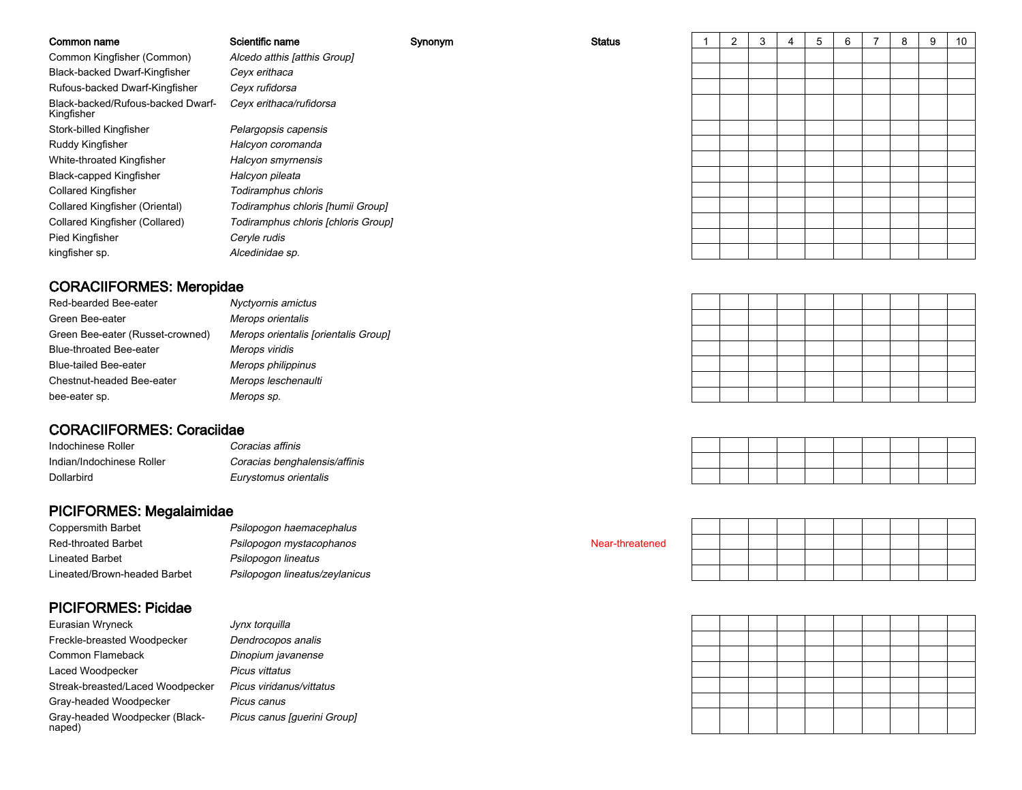| Common name                                     | Scientific name                     | Synonym | <b>Status</b> | 2 | 3 | 5 | 6 | 8 | 9 | 10 |
|-------------------------------------------------|-------------------------------------|---------|---------------|---|---|---|---|---|---|----|
| Common Kingfisher (Common)                      | Alcedo atthis [atthis Group]        |         |               |   |   |   |   |   |   |    |
| Black-backed Dwarf-Kingfisher                   | Ceyx erithaca                       |         |               |   |   |   |   |   |   |    |
| Rufous-backed Dwarf-Kingfisher                  | Ceyx rufidorsa                      |         |               |   |   |   |   |   |   |    |
| Black-backed/Rufous-backed Dwarf-<br>Kingfisher | Ceyx erithaca/rufidorsa             |         |               |   |   |   |   |   |   |    |
| Stork-billed Kingfisher                         | Pelargopsis capensis                |         |               |   |   |   |   |   |   |    |
| Ruddy Kingfisher                                | Halcyon coromanda                   |         |               |   |   |   |   |   |   |    |
| White-throated Kingfisher                       | Halcyon smyrnensis                  |         |               |   |   |   |   |   |   |    |
| <b>Black-capped Kingfisher</b>                  | Halcyon pileata                     |         |               |   |   |   |   |   |   |    |
| <b>Collared Kingfisher</b>                      | Todiramphus chloris                 |         |               |   |   |   |   |   |   |    |
| Collared Kingfisher (Oriental)                  | Todiramphus chloris [humii Group]   |         |               |   |   |   |   |   |   |    |
| Collared Kingfisher (Collared)                  | Todiramphus chloris [chloris Group] |         |               |   |   |   |   |   |   |    |
| Pied Kingfisher                                 | Ceryle rudis                        |         |               |   |   |   |   |   |   |    |
| kingfisher sp.                                  | Alcedinidae sp.                     |         |               |   |   |   |   |   |   |    |
|                                                 |                                     |         |               |   |   |   |   |   |   |    |

# CORACIIFORMES: Meropidae

| Red-bearded Bee-eater            | Nyctyornis amictus                   |
|----------------------------------|--------------------------------------|
| Green Bee-eater                  | Merops orientalis                    |
| Green Bee-eater (Russet-crowned) | Merops orientalis [orientalis Group] |
| <b>Blue-throated Bee-eater</b>   | Merops viridis                       |
| <b>Blue-tailed Bee-eater</b>     | Merops philippinus                   |
| Chestnut-headed Bee-eater        | Merops leschenaulti                  |
| bee-eater sp.                    | Merops sp.                           |

### CORACIIFORMES: Coraciidae

| Indochinese Roller        | Coracias affinis              |
|---------------------------|-------------------------------|
| Indian/Indochinese Roller | Coracias benghalensis/affinis |
| <b>Dollarbird</b>         | Eurystomus orientalis         |

# PICIFORMES: Megalaimidae

| <b>Coppersmith Barbet</b>    | Psilopo |
|------------------------------|---------|
| <b>Red-throated Barbet</b>   | Psilopo |
| Lineated Barbet              | Psilopo |
| Lineated/Brown-headed Barbet | Psilopo |

### PICIFORMES: Picidae

| Eurasian Wryneck                         | Jynx torquilla              |
|------------------------------------------|-----------------------------|
| Freckle-breasted Woodpecker              | Dendrocopos analis          |
| Common Flameback                         | Dinopium javanense          |
| Laced Woodpecker                         | Picus vittatus              |
| Streak-breasted/Laced Woodpecker         | Picus viridanus/vittatus    |
| Gray-headed Woodpecker                   | Picus canus                 |
| Gray-headed Woodpecker (Black-<br>naped) | Picus canus [guerini Group] |

gon haemacephalus Psilopogon mystacophanospgon lineatus Psilopogon lineatus/zeylanicus

# Jynx torquillar **Dendrocopos analis**  Dinopium javanense Picus vittatus Picus viridanus/vittatusPicus canus

#### Near-threatened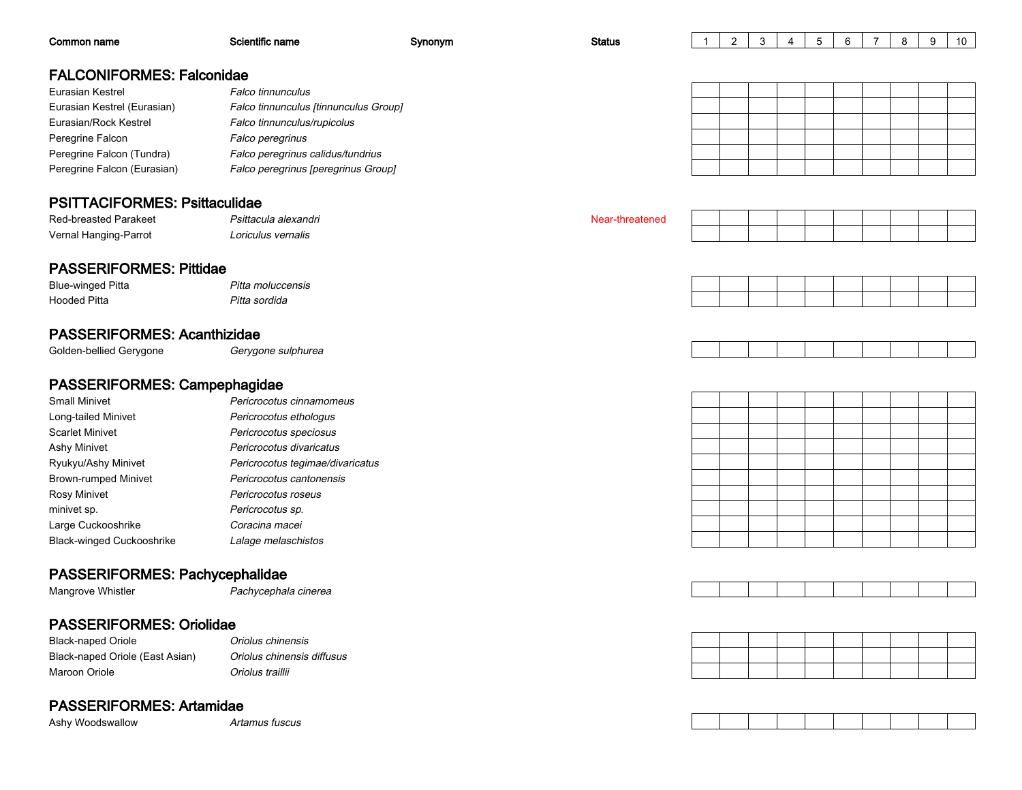| Common name                                   | Scientific name                                    | Synonym | <b>Status</b>   | -1 | 2 | 3 | 4 | 5 | 6 | $\overline{7}$ | 8 | 9 | 10 |
|-----------------------------------------------|----------------------------------------------------|---------|-----------------|----|---|---|---|---|---|----------------|---|---|----|
| <b>FALCONIFORMES: Falconidae</b>              |                                                    |         |                 |    |   |   |   |   |   |                |   |   |    |
| Eurasian Kestrel                              | <b>Falco tinnunculus</b>                           |         |                 |    |   |   |   |   |   |                |   |   |    |
| Eurasian Kestrel (Eurasian)                   | Falco tinnunculus [tinnunculus Group]              |         |                 |    |   |   |   |   |   |                |   |   |    |
| Eurasian/Rock Kestrel                         | Falco tinnunculus/rupicolus                        |         |                 |    |   |   |   |   |   |                |   |   |    |
| Peregrine Falcon                              | Falco peregrinus                                   |         |                 |    |   |   |   |   |   |                |   |   |    |
| Peregrine Falcon (Tundra)                     | Falco peregrinus calidus/tundrius                  |         |                 |    |   |   |   |   |   |                |   |   |    |
| Peregrine Falcon (Eurasian)                   | Falco peregrinus [peregrinus Group]                |         |                 |    |   |   |   |   |   |                |   |   |    |
|                                               |                                                    |         |                 |    |   |   |   |   |   |                |   |   |    |
| <b>PSITTACIFORMES: Psittaculidae</b>          |                                                    |         |                 |    |   |   |   |   |   |                |   |   |    |
| Red-breasted Parakeet                         | Psittacula alexandri                               |         | Near-threatened |    |   |   |   |   |   |                |   |   |    |
| Vernal Hanging-Parrot                         | Loriculus vernalis                                 |         |                 |    |   |   |   |   |   |                |   |   |    |
|                                               |                                                    |         |                 |    |   |   |   |   |   |                |   |   |    |
| <b>PASSERIFORMES: Pittidae</b>                |                                                    |         |                 |    |   |   |   |   |   |                |   |   |    |
| <b>Blue-winged Pitta</b>                      | Pitta moluccensis                                  |         |                 |    |   |   |   |   |   |                |   |   |    |
| <b>Hooded Pitta</b>                           | Pitta sordida                                      |         |                 |    |   |   |   |   |   |                |   |   |    |
|                                               |                                                    |         |                 |    |   |   |   |   |   |                |   |   |    |
| <b>PASSERIFORMES: Acanthizidae</b>            |                                                    |         |                 |    |   |   |   |   |   |                |   |   |    |
| Golden-bellied Gerygone                       | Gerygone sulphurea                                 |         |                 |    |   |   |   |   |   |                |   |   |    |
| PASSERIFORMES: Campephagidae                  |                                                    |         |                 |    |   |   |   |   |   |                |   |   |    |
| <b>Small Minivet</b>                          |                                                    |         |                 |    |   |   |   |   |   |                |   |   |    |
|                                               | Pericrocotus cinnamomeus                           |         |                 |    |   |   |   |   |   |                |   |   |    |
| Long-tailed Minivet<br><b>Scarlet Minivet</b> | Pericrocotus ethologus                             |         |                 |    |   |   |   |   |   |                |   |   |    |
| Ashy Minivet                                  | Pericrocotus speciosus<br>Pericrocotus divaricatus |         |                 |    |   |   |   |   |   |                |   |   |    |
| Ryukyu/Ashy Minivet                           | Pericrocotus tegimae/divaricatus                   |         |                 |    |   |   |   |   |   |                |   |   |    |
| <b>Brown-rumped Minivet</b>                   | Pericrocotus cantonensis                           |         |                 |    |   |   |   |   |   |                |   |   |    |
| Rosy Minivet                                  | Pericrocotus roseus                                |         |                 |    |   |   |   |   |   |                |   |   |    |
| minivet sp.                                   | Pericrocotus sp.                                   |         |                 |    |   |   |   |   |   |                |   |   |    |
| Large Cuckooshrike                            | Coracina macei                                     |         |                 |    |   |   |   |   |   |                |   |   |    |
| Black-winged Cuckooshrike                     | Lalage melaschistos                                |         |                 |    |   |   |   |   |   |                |   |   |    |
|                                               |                                                    |         |                 |    |   |   |   |   |   |                |   |   |    |
| PASSERIFORMES: Pachycephalidae                |                                                    |         |                 |    |   |   |   |   |   |                |   |   |    |
| Mangrove Whistler                             | Pachycephala cinerea                               |         |                 |    |   |   |   |   |   |                |   |   |    |
|                                               |                                                    |         |                 |    |   |   |   |   |   |                |   |   |    |

# PASSERIFORMES: Oriolidae

| <b>Black-naped Oriole</b>       | Oriolus |
|---------------------------------|---------|
| Black-naped Oriole (East Asian) | Oriolus |
| Maroon Oriole                   | Oriolus |

chinensis chinensis diffusus traillii

# PASSERIFORMES: Artamidae

Ashy Woodswallow

w and **Artamus** fuscus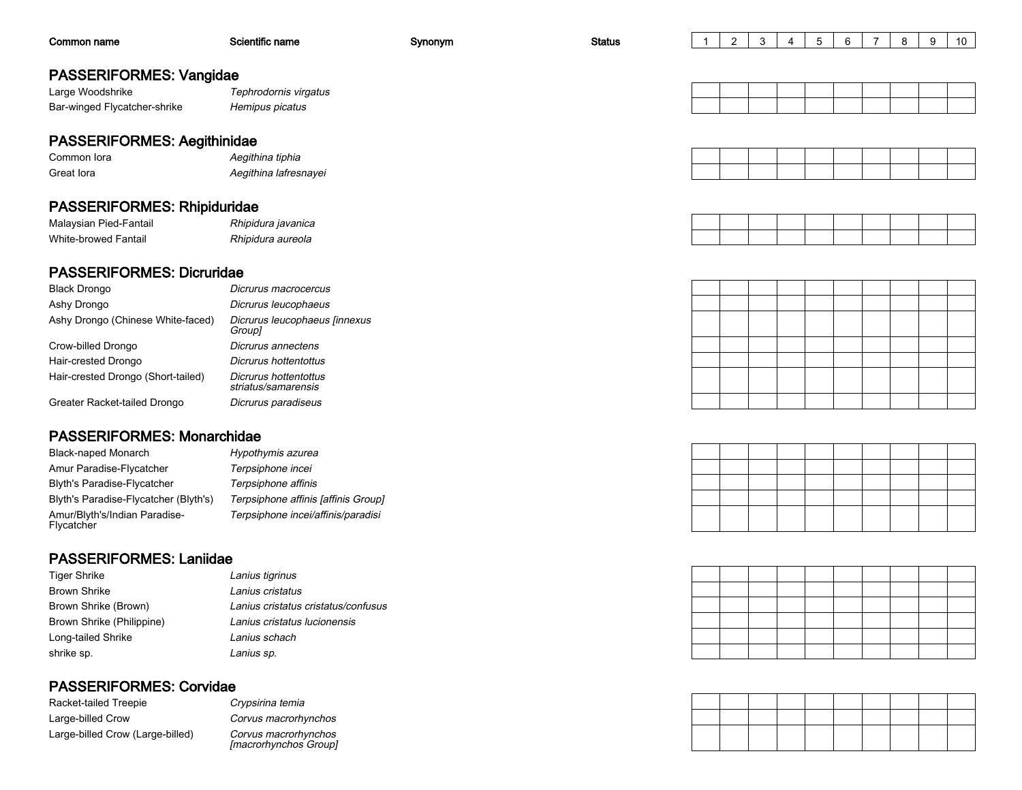| Common name                        | Scientific name       | Synonym | <b>Status</b> |  |  | 5 | 6 | 8 | 9 | 10 |
|------------------------------------|-----------------------|---------|---------------|--|--|---|---|---|---|----|
| <b>PASSERIFORMES: Vangidae</b>     |                       |         |               |  |  |   |   |   |   |    |
| Large Woodshrike                   | Tephrodornis virgatus |         |               |  |  |   |   |   |   |    |
| Bar-winged Flycatcher-shrike       | Hemipus picatus       |         |               |  |  |   |   |   |   |    |
| <b>PASSERIFORMES: Aegithinidae</b> |                       |         |               |  |  |   |   |   |   |    |
| Common lora                        | Aegithina tiphia      |         |               |  |  |   |   |   |   |    |
| Great lora                         | Aegithina lafresnayei |         |               |  |  |   |   |   |   |    |
| <b>PASSERIFORMES: Rhipiduridae</b> |                       |         |               |  |  |   |   |   |   |    |
| Malaysian Pied-Fantail             | Rhipidura javanica    |         |               |  |  |   |   |   |   |    |
| White-browed Fantail               | Rhipidura aureola     |         |               |  |  |   |   |   |   |    |

### PASSERIFORMES: Dicruridae

| <b>Black Drongo</b>                | Dicrurus macrocercus                         |
|------------------------------------|----------------------------------------------|
| Ashy Drongo                        | Dicrurus leucophaeus                         |
| Ashy Drongo (Chinese White-faced)  | Dicrurus leucophaeus [innexus<br>Group]      |
| Crow-billed Drongo                 | Dicrurus annectens                           |
| Hair-crested Drongo                | Dicrurus hottentottus                        |
| Hair-crested Drongo (Short-tailed) | Dicrurus hottentottus<br>striatus/samarensis |
| Greater Racket-tailed Drongo       | Dicrurus paradiseus                          |
|                                    |                                              |

Rhipidura aureola

# PASSERIFORMES: Monarchidae

| Black-naped Monarch                         | Hypothymis azurea                   |
|---------------------------------------------|-------------------------------------|
| Amur Paradise-Flycatcher                    | Terpsiphone incei                   |
| <b>Blyth's Paradise-Flycatcher</b>          | Terpsiphone affinis                 |
| Blyth's Paradise-Flycatcher (Blyth's)       | Terpsiphone affinis [affinis Group] |
| Amur/Blyth's/Indian Paradise-<br>Flycatcher | Terpsiphone incei/affinis/paradisi  |

### PASSERIFORMES: Laniidae

| Tiger Shrike              | Lanius tigrinus                     |
|---------------------------|-------------------------------------|
| <b>Brown Shrike</b>       | Lanius cristatus                    |
| Brown Shrike (Brown)      | Lanius cristatus cristatus/confusus |
| Brown Shrike (Philippine) | Lanius cristatus lucionensis        |
| Long-tailed Shrike        | Lanius schach                       |
| shrike sp.                | Lanius sp.                          |

# PASSERIFORMES: Corvidae

| Racket-tailed Treepie            | Crypsirina temia    |
|----------------------------------|---------------------|
| Large-billed Crow                | Corvus macrorh      |
| Large-billed Crow (Large-billed) | Corvus macrorh<br>. |

 Corvus macrorhynchos Corvus macrorhynchos [macrorhynchos Group]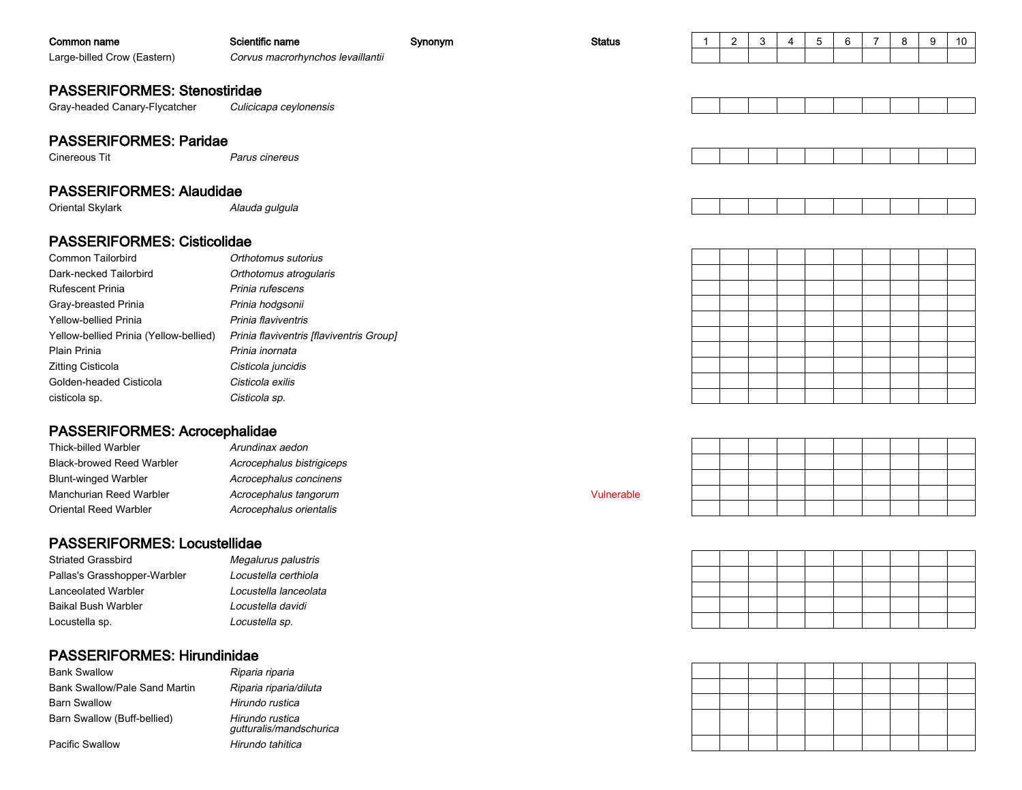| Common name                                       | Scientific name                          | Synonym | <b>Status</b> | $\overline{1}$ | $\mathbf{2}$ | 3 | 4 | 5 | 6 | 7 | 8 | 9 | 10 |
|---------------------------------------------------|------------------------------------------|---------|---------------|----------------|--------------|---|---|---|---|---|---|---|----|
| Large-billed Crow (Eastern)                       | Corvus macrorhynchos levaillantii        |         |               |                |              |   |   |   |   |   |   |   |    |
|                                                   |                                          |         |               |                |              |   |   |   |   |   |   |   |    |
| <b>PASSERIFORMES: Stenostiridae</b>               |                                          |         |               |                |              |   |   |   |   |   |   |   |    |
| Gray-headed Canary-Flycatcher                     | Culicicapa ceylonensis                   |         |               |                |              |   |   |   |   |   |   |   |    |
|                                                   |                                          |         |               |                |              |   |   |   |   |   |   |   |    |
| <b>PASSERIFORMES: Paridae</b>                     |                                          |         |               |                |              |   |   |   |   |   |   |   |    |
| Cinereous Tit                                     | Parus cinereus                           |         |               |                |              |   |   |   |   |   |   |   |    |
|                                                   |                                          |         |               |                |              |   |   |   |   |   |   |   |    |
| <b>PASSERIFORMES: Alaudidae</b>                   |                                          |         |               |                |              |   |   |   |   |   |   |   |    |
| Oriental Skylark                                  | Alauda gulgula                           |         |               |                |              |   |   |   |   |   |   |   |    |
|                                                   |                                          |         |               |                |              |   |   |   |   |   |   |   |    |
| <b>PASSERIFORMES: Cisticolidae</b>                |                                          |         |               |                |              |   |   |   |   |   |   |   |    |
| <b>Common Tailorbird</b>                          | Orthotomus sutorius                      |         |               |                |              |   |   |   |   |   |   |   |    |
| Dark-necked Tailorbird                            | Orthotomus atrogularis                   |         |               |                |              |   |   |   |   |   |   |   |    |
| <b>Rufescent Prinia</b>                           | Prinia rufescens                         |         |               |                |              |   |   |   |   |   |   |   |    |
| Gray-breasted Prinia                              | Prinia hodgsonii                         |         |               |                |              |   |   |   |   |   |   |   |    |
| Yellow-bellied Prinia                             | Prinia flaviventris                      |         |               |                |              |   |   |   |   |   |   |   |    |
| Yellow-bellied Prinia (Yellow-bellied)            | Prinia flaviventris [flaviventris Group] |         |               |                |              |   |   |   |   |   |   |   |    |
| Plain Prinia                                      | Prinia inornata                          |         |               |                |              |   |   |   |   |   |   |   |    |
| Zitting Cisticola                                 | Cisticola juncidis                       |         |               |                |              |   |   |   |   |   |   |   |    |
| Golden-headed Cisticola                           | Cisticola exilis                         |         |               |                |              |   |   |   |   |   |   |   |    |
| cisticola sp.                                     | Cisticola sp.                            |         |               |                |              |   |   |   |   |   |   |   |    |
|                                                   |                                          |         |               |                |              |   |   |   |   |   |   |   |    |
| <b>PASSERIFORMES: Acrocephalidae</b>              |                                          |         |               |                |              |   |   |   |   |   |   |   |    |
| <b>Thick-billed Warbler</b>                       | Arundinax aedon                          |         |               |                |              |   |   |   |   |   |   |   |    |
| <b>Black-browed Reed Warbler</b>                  | Acrocephalus bistrigiceps                |         |               |                |              |   |   |   |   |   |   |   |    |
| <b>Blunt-winged Warbler</b>                       | Acrocephalus concinens                   |         |               |                |              |   |   |   |   |   |   |   |    |
| Manchurian Reed Warbler                           | Acrocephalus tangorum                    |         | Vulnerable    |                |              |   |   |   |   |   |   |   |    |
| Oriental Reed Warbler                             | Acrocephalus orientalis                  |         |               |                |              |   |   |   |   |   |   |   |    |
|                                                   |                                          |         |               |                |              |   |   |   |   |   |   |   |    |
| <b>PASSERIFORMES: Locustellidae</b>               |                                          |         |               |                |              |   |   |   |   |   |   |   |    |
| <b>Striated Grassbird</b>                         | Megalurus palustris                      |         |               |                |              |   |   |   |   |   |   |   |    |
| Pallas's Grasshopper-Warbler                      | Locustella certhiola                     |         |               |                |              |   |   |   |   |   |   |   |    |
| Lanceolated Warbler<br><b>Baikal Bush Warbler</b> | Locustella lanceolata                    |         |               |                |              |   |   |   |   |   |   |   |    |
|                                                   | Locustella davidi                        |         |               |                |              |   |   |   |   |   |   |   |    |
| Locustella sp.                                    | Locustella sp.                           |         |               |                |              |   |   |   |   |   |   |   |    |
| <b>PASSERIFORMES: Hirundinidae</b>                |                                          |         |               |                |              |   |   |   |   |   |   |   |    |
| <b>Bank Swallow</b>                               | Riparia riparia                          |         |               |                |              |   |   |   |   |   |   |   |    |
| Bank Swallow/Pale Sand Martin                     | Riparia riparia/diluta                   |         |               |                |              |   |   |   |   |   |   |   |    |
| <b>Barn Swallow</b>                               | Hirundo rustica                          |         |               |                |              |   |   |   |   |   |   |   |    |

 Hirundo rustica Hirundo rustica gutturalis/mandschuricaHirundo tahitica

Pacific Swallow

Barn Swallow (Buff-bellied)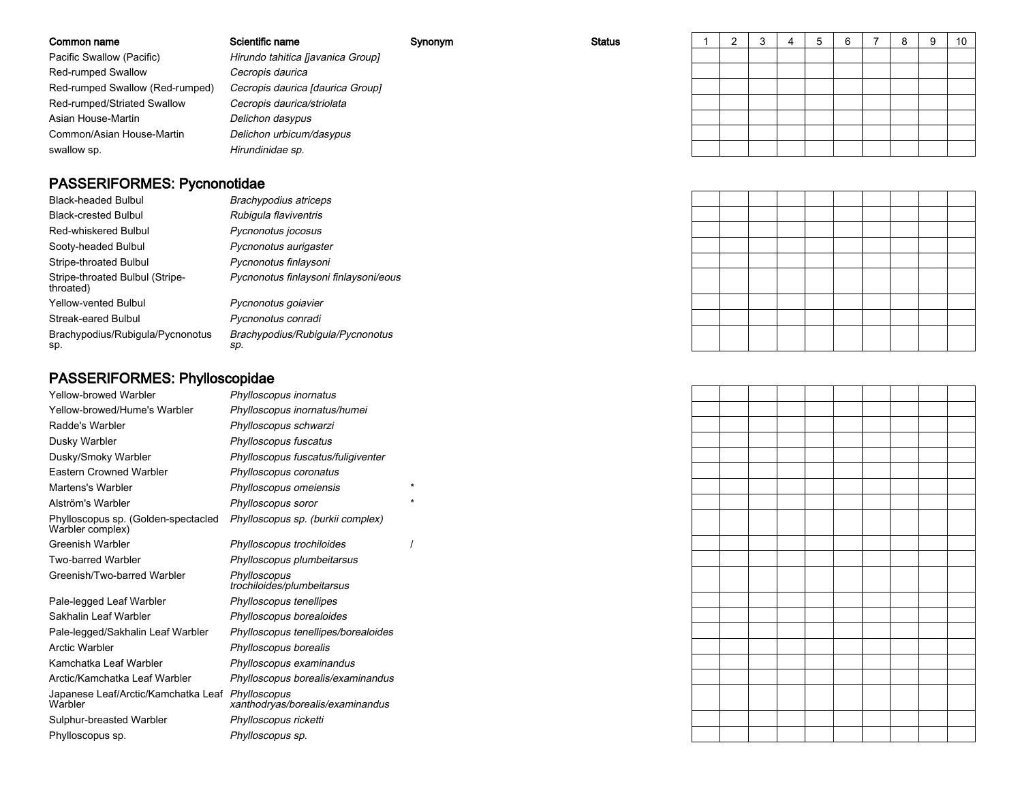| Common name                     | Scientific name                   | Synonym | <b>Status</b> |  |  | Ю | 6 | o | 10 |
|---------------------------------|-----------------------------------|---------|---------------|--|--|---|---|---|----|
| Pacific Swallow (Pacific)       | Hirundo tahitica [javanica Group] |         |               |  |  |   |   |   |    |
| <b>Red-rumped Swallow</b>       | Cecropis daurica                  |         |               |  |  |   |   |   |    |
| Red-rumped Swallow (Red-rumped) | Cecropis daurica [daurica Group]  |         |               |  |  |   |   |   |    |
| Red-rumped/Striated Swallow     | Cecropis daurica/striolata        |         |               |  |  |   |   |   |    |
| Asian House-Martin              | Delichon dasypus                  |         |               |  |  |   |   |   |    |
| Common/Asian House-Martin       | Delichon urbicum/dasypus          |         |               |  |  |   |   |   |    |
| swallow sp.                     | Hirundinidae sp.                  |         |               |  |  |   |   |   |    |

# PASSERIFORMES: Pycnonotidae

| Black-headed Bulbul                          | Brachypodius atriceps                   |
|----------------------------------------------|-----------------------------------------|
| <b>Black-crested Bulbul</b>                  | Rubigula flaviventris                   |
| Red-whiskered Bulbul                         | Pycnonotus jocosus                      |
| Sooty-headed Bulbul                          | Pycnonotus aurigaster                   |
| Stripe-throated Bulbul                       | Pycnonotus finlaysoni                   |
| Stripe-throated Bulbul (Stripe-<br>throated) | Pycnonotus finlaysoni finlaysoni/eous   |
| <b>Yellow-vented Bulbul</b>                  | Pycnonotus goiavier                     |
| Streak-eared Bulbul                          | Pycnonotus conradi                      |
| Brachypodius/Rubigula/Pycnonotus<br>sp.      | Brachypodius/Rubigula/Pycnonotus<br>sp. |

# PASSERIFORMES: Phylloscopidae

| Yellow-browed Warbler                                       | Phylloscopus inornatus                     |          |
|-------------------------------------------------------------|--------------------------------------------|----------|
| Yellow-browed/Hume's Warbler                                | Phylloscopus inornatus/humei               |          |
| Radde's Warbler                                             | Phylloscopus schwarzi                      |          |
| Dusky Warbler                                               | Phylloscopus fuscatus                      |          |
| Dusky/Smoky Warbler                                         | Phylloscopus fuscatus/fuligiventer         |          |
| Eastern Crowned Warbler                                     | Phylloscopus coronatus                     |          |
| Martens's Warbler                                           | Phylloscopus omeiensis                     |          |
| Alström's Warbler                                           | Phylloscopus soror                         | $\star$  |
| Phylloscopus sp. (Golden-spectacled<br>Warbler complex)     | Phylloscopus sp. (burkii complex)          |          |
| <b>Greenish Warbler</b>                                     | Phylloscopus trochiloides                  | $\prime$ |
| Two-barred Warbler                                          | Phylloscopus plumbeitarsus                 |          |
| Greenish/Two-barred Warbler                                 | Phylloscopus<br>trochiloides/plumbeitarsus |          |
| Pale-legged Leaf Warbler                                    | Phylloscopus tenellipes                    |          |
| Sakhalin Leaf Warbler                                       | Phylloscopus borealoides                   |          |
| Pale-legged/Sakhalin Leaf Warbler                           | Phylloscopus tenellipes/borealoides        |          |
| Arctic Warbler                                              | Phylloscopus borealis                      |          |
| Kamchatka Leaf Warbler                                      | Phylloscopus examinandus                   |          |
| Arctic/Kamchatka Leaf Warbler                               | Phylloscopus borealis/examinandus          |          |
| Japanese Leaf/Arctic/Kamchatka Leaf Phylloscopus<br>Warbler | xanthodryas/borealis/examinandus           |          |
| Sulphur-breasted Warbler                                    | Phylloscopus ricketti                      |          |
| Phylloscopus sp.                                            | Phylloscopus sp.                           |          |
|                                                             |                                            |          |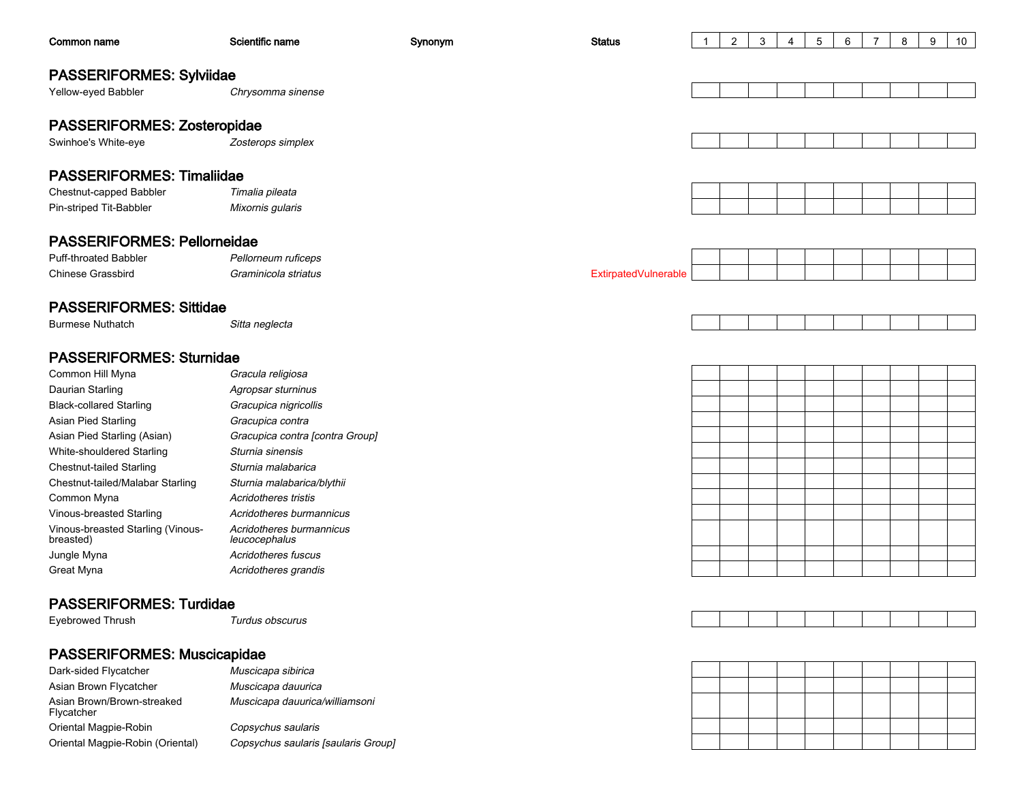| Common name                                    | Scientific name                           | Synonym | <b>Status</b>        | $\overline{1}$ | $\overline{2}$ | 3 | 4 | $\sqrt{5}$ | 6 | $\overline{7}$ | 8 | 9 | 10 |
|------------------------------------------------|-------------------------------------------|---------|----------------------|----------------|----------------|---|---|------------|---|----------------|---|---|----|
|                                                |                                           |         |                      |                |                |   |   |            |   |                |   |   |    |
| <b>PASSERIFORMES: Sylviidae</b>                |                                           |         |                      |                |                |   |   |            |   |                |   |   |    |
| Yellow-eyed Babbler                            | Chrysomma sinense                         |         |                      |                |                |   |   |            |   |                |   |   |    |
|                                                |                                           |         |                      |                |                |   |   |            |   |                |   |   |    |
| PASSERIFORMES: Zosteropidae                    |                                           |         |                      |                |                |   |   |            |   |                |   |   |    |
| Swinhoe's White-eye                            | Zosterops simplex                         |         |                      |                |                |   |   |            |   |                |   |   |    |
|                                                |                                           |         |                      |                |                |   |   |            |   |                |   |   |    |
| <b>PASSERIFORMES: Timaliidae</b>               |                                           |         |                      |                |                |   |   |            |   |                |   |   |    |
| Chestnut-capped Babbler                        | Timalia pileata                           |         |                      |                |                |   |   |            |   |                |   |   |    |
| Pin-striped Tit-Babbler                        | Mixornis gularis                          |         |                      |                |                |   |   |            |   |                |   |   |    |
|                                                |                                           |         |                      |                |                |   |   |            |   |                |   |   |    |
| <b>PASSERIFORMES: Pellorneidae</b>             |                                           |         |                      |                |                |   |   |            |   |                |   |   |    |
| <b>Puff-throated Babbler</b>                   | Pellorneum ruficeps                       |         |                      |                |                |   |   |            |   |                |   |   |    |
| <b>Chinese Grassbird</b>                       | Graminicola striatus                      |         | ExtirpatedVulnerable |                |                |   |   |            |   |                |   |   |    |
| <b>PASSERIFORMES: Sittidae</b>                 |                                           |         |                      |                |                |   |   |            |   |                |   |   |    |
| <b>Burmese Nuthatch</b>                        | Sitta neglecta                            |         |                      |                |                |   |   |            |   |                |   |   |    |
|                                                |                                           |         |                      |                |                |   |   |            |   |                |   |   |    |
| <b>PASSERIFORMES: Sturnidae</b>                |                                           |         |                      |                |                |   |   |            |   |                |   |   |    |
| Common Hill Myna                               | Gracula religiosa                         |         |                      |                |                |   |   |            |   |                |   |   |    |
| Daurian Starling                               | Agropsar sturninus                        |         |                      |                |                |   |   |            |   |                |   |   |    |
| <b>Black-collared Starling</b>                 | Gracupica nigricollis                     |         |                      |                |                |   |   |            |   |                |   |   |    |
| Asian Pied Starling                            | Gracupica contra                          |         |                      |                |                |   |   |            |   |                |   |   |    |
| Asian Pied Starling (Asian)                    | Gracupica contra [contra Group]           |         |                      |                |                |   |   |            |   |                |   |   |    |
| White-shouldered Starling                      | Sturnia sinensis                          |         |                      |                |                |   |   |            |   |                |   |   |    |
| <b>Chestnut-tailed Starling</b>                | Sturnia malabarica                        |         |                      |                |                |   |   |            |   |                |   |   |    |
| Chestnut-tailed/Malabar Starling               | Sturnia malabarica/blythii                |         |                      |                |                |   |   |            |   |                |   |   |    |
| Common Myna                                    | Acridotheres tristis                      |         |                      |                |                |   |   |            |   |                |   |   |    |
| Vinous-breasted Starling                       | Acridotheres burmannicus                  |         |                      |                |                |   |   |            |   |                |   |   |    |
| Vinous-breasted Starling (Vinous-<br>breasted) | Acridotheres burmannicus<br>leucocephalus |         |                      |                |                |   |   |            |   |                |   |   |    |
| Jungle Myna                                    | Acridotheres fuscus                       |         |                      |                |                |   |   |            |   |                |   |   |    |
| Great Myna                                     | Acridotheres grandis                      |         |                      |                |                |   |   |            |   |                |   |   |    |
|                                                |                                           |         |                      |                |                |   |   |            |   |                |   |   |    |
| <b>PASSERIFORMES: Turdidae</b>                 |                                           |         |                      |                |                |   |   |            |   |                |   |   |    |
| Eyebrowed Thrush                               | Turdus obscurus                           |         |                      |                |                |   |   |            |   |                |   |   |    |
|                                                |                                           |         |                      |                |                |   |   |            |   |                |   |   |    |
| <b>PASSERIFORMES: Muscicapidae</b>             |                                           |         |                      |                |                |   |   |            |   |                |   |   |    |
| Dark-sided Flycatcher                          | Muscicapa sibirica                        |         |                      |                |                |   |   |            |   |                |   |   |    |
| Asian Brown Flycatcher                         | Muscicapa dauurica                        |         |                      |                |                |   |   |            |   |                |   |   |    |
| Asian Brown/Brown-streaked<br>Flycatcher       | Muscicapa dauurica/williamsoni            |         |                      |                |                |   |   |            |   |                |   |   |    |
| Oriental Magpie-Robin                          | Copsychus saularis                        |         |                      |                |                |   |   |            |   |                |   |   |    |
| Oriental Magpie-Robin (Oriental)               | Copsychus saularis [saularis Group]       |         |                      |                |                |   |   |            |   |                |   |   |    |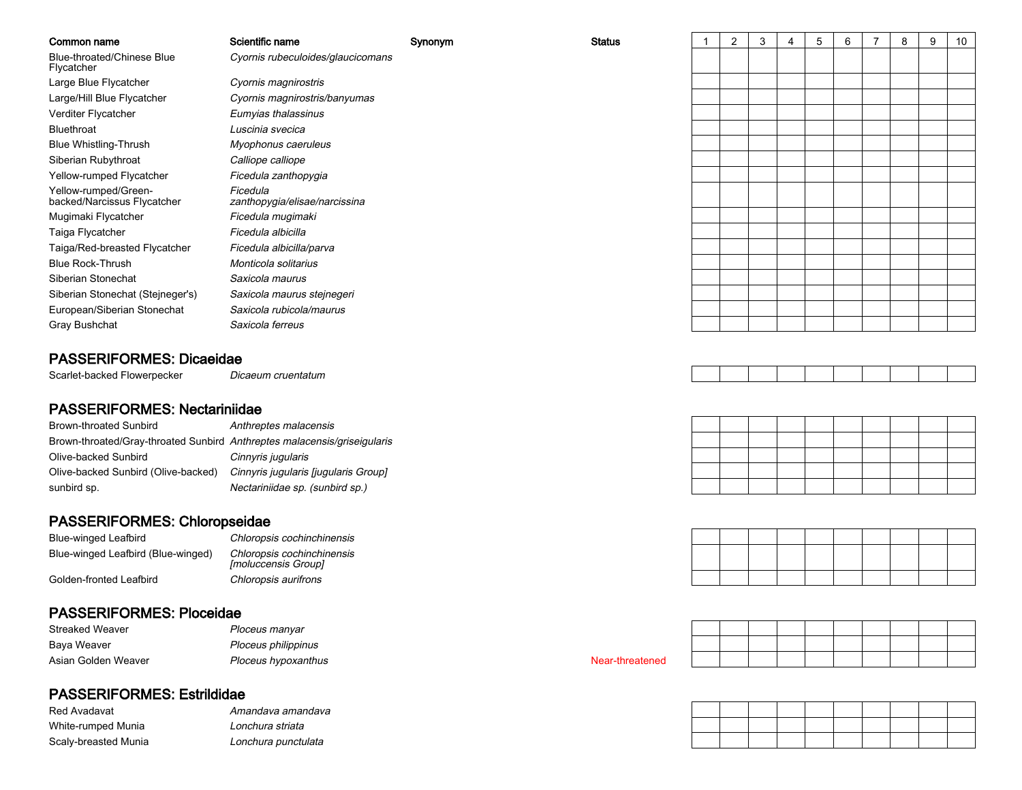| Common name                                                              | Scientific name                                   | Synonym | <b>Status</b>   | $\mathbf{1}$ | 2 | 3 | $\overline{4}$ | 5 | 6 | $\overline{7}$ | 8 | 9 | 10 |
|--------------------------------------------------------------------------|---------------------------------------------------|---------|-----------------|--------------|---|---|----------------|---|---|----------------|---|---|----|
| Blue-throated/Chinese Blue<br>Flycatcher                                 | Cyornis rubeculoides/glaucicomans                 |         |                 |              |   |   |                |   |   |                |   |   |    |
| Large Blue Flycatcher                                                    | Cyornis magnirostris                              |         |                 |              |   |   |                |   |   |                |   |   |    |
| Large/Hill Blue Flycatcher                                               | Cyornis magnirostris/banyumas                     |         |                 |              |   |   |                |   |   |                |   |   |    |
| Verditer Flycatcher                                                      | Eumyias thalassinus                               |         |                 |              |   |   |                |   |   |                |   |   |    |
| Bluethroat                                                               | Luscinia svecica                                  |         |                 |              |   |   |                |   |   |                |   |   |    |
| <b>Blue Whistling-Thrush</b>                                             | Myophonus caeruleus                               |         |                 |              |   |   |                |   |   |                |   |   |    |
| Siberian Rubythroat                                                      | Calliope calliope                                 |         |                 |              |   |   |                |   |   |                |   |   |    |
| Yellow-rumped Flycatcher                                                 | Ficedula zanthopygia                              |         |                 |              |   |   |                |   |   |                |   |   |    |
| Yellow-rumped/Green-<br>backed/Narcissus Flycatcher                      | Ficedula<br>zanthopygia/elisae/narcissina         |         |                 |              |   |   |                |   |   |                |   |   |    |
| Mugimaki Flycatcher                                                      | Ficedula mugimaki                                 |         |                 |              |   |   |                |   |   |                |   |   |    |
| Taiga Flycatcher                                                         | Ficedula albicilla                                |         |                 |              |   |   |                |   |   |                |   |   |    |
| Taiga/Red-breasted Flycatcher                                            | Ficedula albicilla/parva                          |         |                 |              |   |   |                |   |   |                |   |   |    |
| <b>Blue Rock-Thrush</b>                                                  | Monticola solitarius                              |         |                 |              |   |   |                |   |   |                |   |   |    |
| Siberian Stonechat                                                       | Saxicola maurus                                   |         |                 |              |   |   |                |   |   |                |   |   |    |
| Siberian Stonechat (Stejneger's)                                         | Saxicola maurus stejnegeri                        |         |                 |              |   |   |                |   |   |                |   |   |    |
| European/Siberian Stonechat                                              | Saxicola rubicola/maurus                          |         |                 |              |   |   |                |   |   |                |   |   |    |
| Gray Bushchat                                                            | Saxicola ferreus                                  |         |                 |              |   |   |                |   |   |                |   |   |    |
| <b>PASSERIFORMES: Dicaeidae</b>                                          |                                                   |         |                 |              |   |   |                |   |   |                |   |   |    |
| Scarlet-backed Flowerpecker                                              | Dicaeum cruentatum                                |         |                 |              |   |   |                |   |   |                |   |   |    |
| <b>PASSERIFORMES: Nectariniidae</b>                                      |                                                   |         |                 |              |   |   |                |   |   |                |   |   |    |
| <b>Brown-throated Sunbird</b>                                            | Anthreptes malacensis                             |         |                 |              |   |   |                |   |   |                |   |   |    |
| Brown-throated/Gray-throated Sunbird Anthreptes malacensis/griseigularis |                                                   |         |                 |              |   |   |                |   |   |                |   |   |    |
| Olive-backed Sunbird                                                     | Cinnyris jugularis                                |         |                 |              |   |   |                |   |   |                |   |   |    |
| Olive-backed Sunbird (Olive-backed)                                      | Cinnyris jugularis [jugularis Group]              |         |                 |              |   |   |                |   |   |                |   |   |    |
| sunbird sp.                                                              | Nectariniidae sp. (sunbird sp.)                   |         |                 |              |   |   |                |   |   |                |   |   |    |
|                                                                          |                                                   |         |                 |              |   |   |                |   |   |                |   |   |    |
| PASSERIFORMES: Chloropseidae                                             |                                                   |         |                 |              |   |   |                |   |   |                |   |   |    |
| <b>Blue-winged Leafbird</b>                                              | Chloropsis cochinchinensis                        |         |                 |              |   |   |                |   |   |                |   |   |    |
| Blue-winged Leafbird (Blue-winged)                                       | Chloropsis cochinchinensis<br>[moluccensis Group] |         |                 |              |   |   |                |   |   |                |   |   |    |
| Golden-fronted Leafbird                                                  | Chloropsis aurifrons                              |         |                 |              |   |   |                |   |   |                |   |   |    |
|                                                                          |                                                   |         |                 |              |   |   |                |   |   |                |   |   |    |
| <b>PASSERIFORMES: Ploceidae</b>                                          |                                                   |         |                 |              |   |   |                |   |   |                |   |   |    |
| <b>Streaked Weaver</b>                                                   | Ploceus manyar                                    |         |                 |              |   |   |                |   |   |                |   |   |    |
| Baya Weaver                                                              | Ploceus philippinus                               |         |                 |              |   |   |                |   |   |                |   |   |    |
| Asian Golden Weaver                                                      | Ploceus hypoxanthus                               |         | Near-threatened |              |   |   |                |   |   |                |   |   |    |
|                                                                          |                                                   |         |                 |              |   |   |                |   |   |                |   |   |    |

# PASSERIFORMES: Estrildidae

| Red Avadavat         | Amandava amandava   |
|----------------------|---------------------|
| White-rumped Munia   | Lonchura striata    |
| Scaly-breasted Munia | Lonchura punctulata |